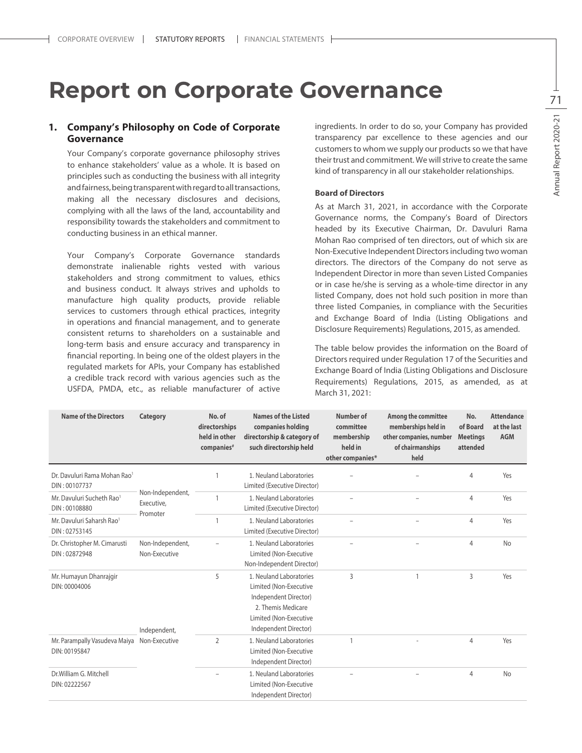# **Report on Corporate Governance**

# **1. Company's Philosophy on Code of Corporate Governance**

Your Company's corporate governance philosophy strives to enhance stakeholders' value as a whole. It is based on principles such as conducting the business with all integrity and fairness, being transparent with regard to all transactions, making all the necessary disclosures and decisions, complying with all the laws of the land, accountability and responsibility towards the stakeholders and commitment to conducting business in an ethical manner.

Your Company's Corporate Governance standards demonstrate inalienable rights vested with various stakeholders and strong commitment to values, ethics and business conduct. It always strives and upholds to manufacture high quality products, provide reliable services to customers through ethical practices, integrity in operations and financial management, and to generate consistent returns to shareholders on a sustainable and long-term basis and ensure accuracy and transparency in financial reporting. In being one of the oldest players in the regulated markets for APIs, your Company has established a credible track record with various agencies such as the USFDA, PMDA, etc., as reliable manufacturer of active ingredients. In order to do so, your Company has provided transparency par excellence to these agencies and our customers to whom we supply our products so we that have their trust and commitment. We will strive to create the same kind of transparency in all our stakeholder relationships.

#### **Board of Directors**

As at March 31, 2021, in accordance with the Corporate Governance norms, the Company's Board of Directors headed by its Executive Chairman, Dr. Davuluri Rama Mohan Rao comprised of ten directors, out of which six are Non-Executive Independent Directors including two woman directors. The directors of the Company do not serve as Independent Director in more than seven Listed Companies or in case he/she is serving as a whole-time director in any listed Company, does not hold such position in more than three listed Companies, in compliance with the Securities and Exchange Board of India (Listing Obligations and Disclosure Requirements) Regulations, 2015, as amended.

The table below provides the information on the Board of Directors required under Regulation 17 of the Securities and Exchange Board of India (Listing Obligations and Disclosure Requirements) Regulations, 2015, as amended, as at March 31, 2021:

| <b>Name of the Directors</b>                              | Category                                   | No. of<br>directorships<br>held in other<br>companies <sup>#</sup> | <b>Names of the Listed</b><br>companies holding<br>directorship & category of<br>such directorship held                                             | Number of<br>committee<br>membership<br>held in<br>other companies* | Among the committee<br>memberships held in<br>other companies, number<br>of chairmanships<br>held | No.<br>of Board<br><b>Meetings</b><br>attended | <b>Attendance</b><br>at the last<br><b>AGM</b> |
|-----------------------------------------------------------|--------------------------------------------|--------------------------------------------------------------------|-----------------------------------------------------------------------------------------------------------------------------------------------------|---------------------------------------------------------------------|---------------------------------------------------------------------------------------------------|------------------------------------------------|------------------------------------------------|
| Dr. Davuluri Rama Mohan Rao <sup>1</sup><br>DIN: 00107737 |                                            |                                                                    | 1. Neuland Laboratories<br>Limited (Executive Director)                                                                                             |                                                                     |                                                                                                   | 4                                              | Yes                                            |
| Mr. Davuluri Sucheth Rao <sup>1</sup><br>DIN: 00108880    | Non-Independent,<br>Executive,<br>Promoter |                                                                    | 1. Neuland Laboratories<br>Limited (Executive Director)                                                                                             |                                                                     |                                                                                                   | 4                                              | Yes                                            |
| Mr. Davuluri Saharsh Rao <sup>1</sup><br>DIN: 02753145    |                                            | 1                                                                  | 1. Neuland Laboratories<br>Limited (Executive Director)                                                                                             |                                                                     | $\overline{\phantom{0}}$                                                                          | 4                                              | Yes                                            |
| Dr. Christopher M. Cimarusti<br>DIN: 02872948             | Non-Independent,<br>Non-Executive          |                                                                    | 1. Neuland Laboratories<br>Limited (Non-Executive<br>Non-Independent Director)                                                                      |                                                                     | $\overline{\phantom{0}}$                                                                          | 4                                              | <b>No</b>                                      |
| Mr. Humayun Dhanrajgir<br>DIN: 00004006                   | Independent,                               | 5                                                                  | 1. Neuland Laboratories<br>Limited (Non-Executive<br>Independent Director)<br>2. Themis Medicare<br>Limited (Non-Executive<br>Independent Director) | 3                                                                   |                                                                                                   | 3                                              | Yes                                            |
| Mr. Parampally Vasudeva Maiya<br>DIN: 00195847            | Non-Executive                              | $\overline{2}$                                                     | 1. Neuland Laboratories<br>Limited (Non-Executive<br>Independent Director)                                                                          | $\mathbf{1}$                                                        |                                                                                                   | 4                                              | Yes                                            |
| Dr.William G. Mitchell<br>DIN: 02222567                   |                                            | $\overline{\phantom{0}}$                                           | 1. Neuland Laboratories<br>Limited (Non-Executive<br>Independent Director)                                                                          |                                                                     | $\overline{\phantom{0}}$                                                                          | 4                                              | <b>No</b>                                      |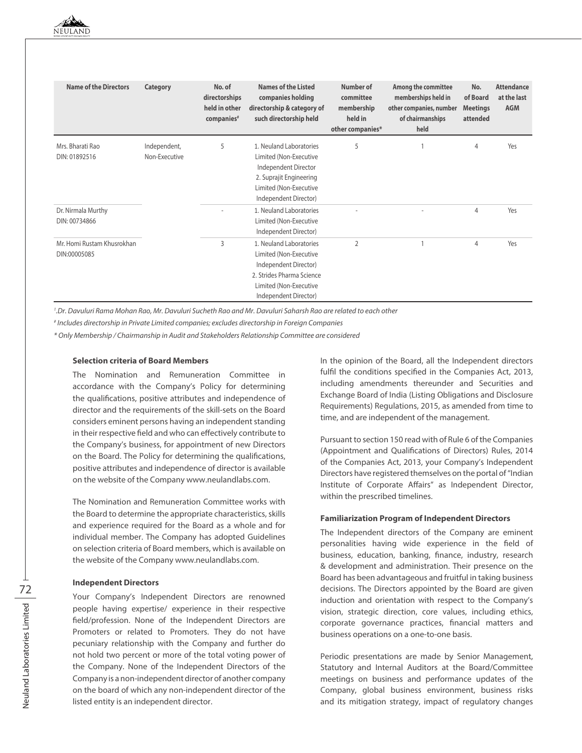| <b>Name of the Directors</b>               | Category                      | No. of<br>directorships<br>held in other<br>companies <sup>#</sup> | <b>Names of the Listed</b><br>companies holding<br>directorship & category of<br>such directorship held                                                    | Number of<br>committee<br>membership<br>held in<br>other companies* | Among the committee<br>memberships held in<br>other companies, number<br>of chairmanships<br>held | No.<br>of Board<br><b>Meetings</b><br>attended | <b>Attendance</b><br>at the last<br><b>AGM</b> |
|--------------------------------------------|-------------------------------|--------------------------------------------------------------------|------------------------------------------------------------------------------------------------------------------------------------------------------------|---------------------------------------------------------------------|---------------------------------------------------------------------------------------------------|------------------------------------------------|------------------------------------------------|
| Mrs. Bharati Rao<br>DIN: 01892516          | Independent,<br>Non-Executive | 5                                                                  | 1. Neuland Laboratories<br>Limited (Non-Executive<br>Independent Director<br>2. Suprajit Engineering<br>Limited (Non-Executive<br>Independent Director)    | 5                                                                   |                                                                                                   | 4                                              | Yes                                            |
| Dr. Nirmala Murthy<br>DIN: 00734866        |                               |                                                                    | 1. Neuland Laboratories<br>Limited (Non-Executive<br>Independent Director)                                                                                 |                                                                     | ٠                                                                                                 | 4                                              | Yes                                            |
| Mr. Homi Rustam Khusrokhan<br>DIN:00005085 |                               | 3                                                                  | 1. Neuland Laboratories<br>Limited (Non-Executive<br>Independent Director)<br>2. Strides Pharma Science<br>Limited (Non-Executive<br>Independent Director) | $\overline{2}$                                                      |                                                                                                   | 4                                              | Yes                                            |

*1 .Dr. Davuluri Rama Mohan Rao, Mr. Davuluri Sucheth Rao and Mr. Davuluri Saharsh Rao are related to each other*

*# Includes directorship in Private Limited companies; excludes directorship in Foreign Companies*

*\* Only Membership / Chairmanship in Audit and Stakeholders Relationship Committee are considered*

#### **Selection criteria of Board Members**

The Nomination and Remuneration Committee in accordance with the Company's Policy for determining the qualifications, positive attributes and independence of director and the requirements of the skill-sets on the Board considers eminent persons having an independent standing in their respective field and who can effectively contribute to the Company's business, for appointment of new Directors on the Board. The Policy for determining the qualifications, positive attributes and independence of director is available on the website of the Company www.neulandlabs.com.

The Nomination and Remuneration Committee works with the Board to determine the appropriate characteristics, skills and experience required for the Board as a whole and for individual member. The Company has adopted Guidelines on selection criteria of Board members, which is available on the website of the Company www.neulandlabs.com.

#### **Independent Directors**

Your Company's Independent Directors are renowned people having expertise/ experience in their respective field/profession. None of the Independent Directors are Promoters or related to Promoters. They do not have pecuniary relationship with the Company and further do not hold two percent or more of the total voting power of the Company. None of the Independent Directors of the Company is a non-independent director of another company on the board of which any non-independent director of the listed entity is an independent director.

In the opinion of the Board, all the Independent directors fulfil the conditions specified in the Companies Act, 2013, including amendments thereunder and Securities and Exchange Board of India (Listing Obligations and Disclosure Requirements) Regulations, 2015, as amended from time to time, and are independent of the management.

Pursuant to section 150 read with of Rule 6 of the Companies (Appointment and Qualifications of Directors) Rules, 2014 of the Companies Act, 2013, your Company's Independent Directors have registered themselves on the portal of "Indian Institute of Corporate Affairs" as Independent Director, within the prescribed timelines.

### **Familiarization Program of Independent Directors**

The Independent directors of the Company are eminent personalities having wide experience in the field of business, education, banking, finance, industry, research & development and administration. Their presence on the Board has been advantageous and fruitful in taking business decisions. The Directors appointed by the Board are given induction and orientation with respect to the Company's vision, strategic direction, core values, including ethics, corporate governance practices, financial matters and business operations on a one-to-one basis.

Periodic presentations are made by Senior Management, Statutory and Internal Auditors at the Board/Committee meetings on business and performance updates of the Company, global business environment, business risks and its mitigation strategy, impact of regulatory changes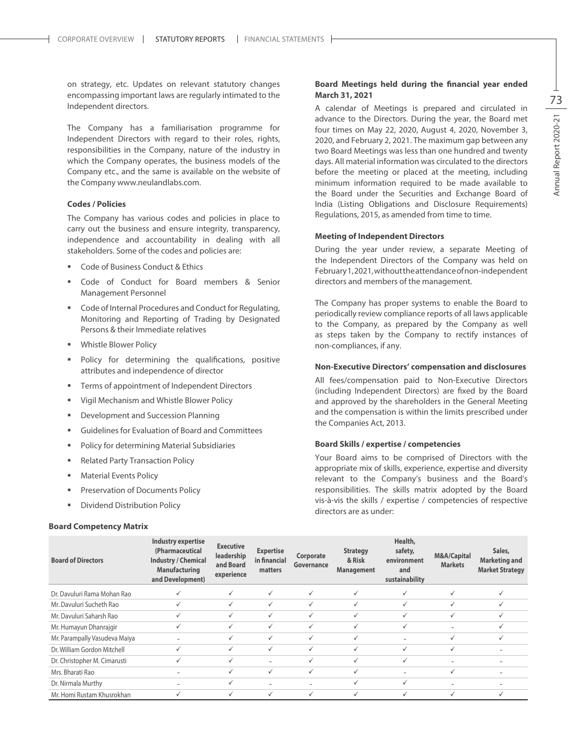on strategy, etc. Updates on relevant statutory changes encompassing important laws are regularly intimated to the Independent directors.

The Company has a familiarisation programme for Independent Directors with regard to their roles, rights, responsibilities in the Company, nature of the industry in which the Company operates, the business models of the Company etc., and the same is available on the website of the Company www.neulandlabs.com.

#### **Codes / Policies**

The Company has various codes and policies in place to carry out the business and ensure integrity, transparency, independence and accountability in dealing with all stakeholders. Some of the codes and policies are:

- Code of Business Conduct & Ethics
- Code of Conduct for Board members & Senior Management Personnel
- Code of Internal Procedures and Conduct for Regulating, Monitoring and Reporting of Trading by Designated Persons & their Immediate relatives
- Whistle Blower Policy
- **Policy for determining the qualifications, positive** attributes and independence of director
- Terms of appointment of Independent Directors
- Vigil Mechanism and Whistle Blower Policy
- Development and Succession Planning
- Guidelines for Evaluation of Board and Committees
- Policy for determining Material Subsidiaries
- Related Party Transaction Policy
- Material Events Policy
- Preservation of Documents Policy
- Dividend Distribution Policy

#### **Board Competency Matrix**

# **Board Meetings held during the financial year ended March 31, 2021**

A calendar of Meetings is prepared and circulated in advance to the Directors. During the year, the Board met four times on May 22, 2020, August 4, 2020, November 3, 2020, and February 2, 2021. The maximum gap between any two Board Meetings was less than one hundred and twenty days. All material information was circulated to the directors before the meeting or placed at the meeting, including minimum information required to be made available to the Board under the Securities and Exchange Board of India (Listing Obligations and Disclosure Requirements) Regulations, 2015, as amended from time to time.

#### **Meeting of Independent Directors**

During the year under review, a separate Meeting of the Independent Directors of the Company was held on February 1, 2021, without the attendance of non-independent directors and members of the management.

The Company has proper systems to enable the Board to periodically review compliance reports of all laws applicable to the Company, as prepared by the Company as well as steps taken by the Company to rectify instances of non-compliances, if any.

#### **Non-Executive Directors' compensation and disclosures**

All fees/compensation paid to Non-Executive Directors (including Independent Directors) are fixed by the Board and approved by the shareholders in the General Meeting and the compensation is within the limits prescribed under the Companies Act, 2013.

# **Board Skills / expertise / competencies**

Your Board aims to be comprised of Directors with the appropriate mix of skills, experience, expertise and diversity relevant to the Company's business and the Board's responsibilities. The skills matrix adopted by the Board vis-à-vis the skills / expertise / competencies of respective directors are as under:

| <b>Board of Directors</b>     | <b>Industry expertise</b><br>(Pharmaceutical<br><b>Industry / Chemical</b><br><b>Manufacturing</b><br>and Development) | <b>Executive</b><br>leadership<br>and Board<br>experience | <b>Expertise</b><br>in financial<br>matters | Corporate<br>Governance  | <b>Strategy</b><br>& Risk<br><b>Management</b> | Health,<br>safety,<br>environment<br>and<br>sustainability | <b>M&amp;A/Capital</b><br><b>Markets</b> | Sales,<br><b>Marketing and</b><br><b>Market Strategy</b> |
|-------------------------------|------------------------------------------------------------------------------------------------------------------------|-----------------------------------------------------------|---------------------------------------------|--------------------------|------------------------------------------------|------------------------------------------------------------|------------------------------------------|----------------------------------------------------------|
| Dr. Davuluri Rama Mohan Rao   |                                                                                                                        | $\checkmark$                                              | $\checkmark$                                | ✓                        | ✓                                              | $\checkmark$                                               | ✓                                        | $\checkmark$                                             |
| Mr. Davuluri Sucheth Rao      |                                                                                                                        | $\checkmark$                                              | $\checkmark$                                |                          |                                                | $\checkmark$                                               |                                          |                                                          |
| Mr. Davuluri Saharsh Rao      | ✓                                                                                                                      | $\checkmark$                                              | $\checkmark$                                | $\checkmark$             | $\checkmark$                                   | $\checkmark$                                               | ✓                                        | $\checkmark$                                             |
| Mr. Humayun Dhanrajgir        |                                                                                                                        | $\checkmark$                                              | $\checkmark$                                | $\checkmark$             | $\checkmark$                                   | $\checkmark$                                               | $\overline{\phantom{0}}$                 | $\checkmark$                                             |
| Mr. Parampally Vasudeva Maiya | $\overline{\phantom{0}}$                                                                                               | √                                                         | $\checkmark$                                | ✓                        | ✓                                              |                                                            | ✓                                        | $\checkmark$                                             |
| Dr. William Gordon Mitchell   | ✓                                                                                                                      | ✓                                                         | $\checkmark$                                | ✓                        | ✓                                              | ✓                                                          | ✓                                        |                                                          |
| Dr. Christopher M. Cimarusti  |                                                                                                                        | ✓                                                         |                                             |                          | $\checkmark$                                   | ✓                                                          |                                          |                                                          |
| Mrs. Bharati Rao              |                                                                                                                        | $\checkmark$                                              | $\checkmark$                                | $\checkmark$             | $\checkmark$                                   |                                                            | ✓                                        |                                                          |
| Dr. Nirmala Murthy            |                                                                                                                        | ✓                                                         | $\overline{\phantom{0}}$                    | $\overline{\phantom{0}}$ | ✓                                              | ✓                                                          |                                          |                                                          |
| Mr. Homi Rustam Khusrokhan    |                                                                                                                        | ✓                                                         | $\checkmark$                                |                          |                                                |                                                            |                                          | √                                                        |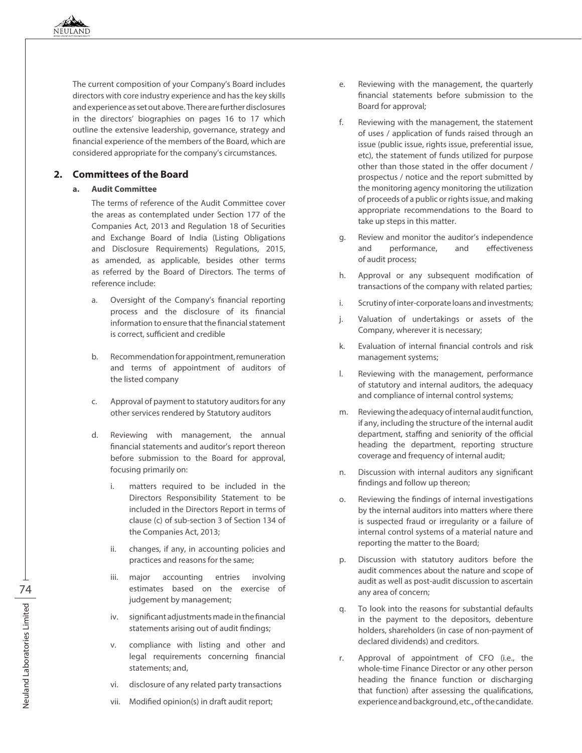The current composition of your Company's Board includes directors with core industry experience and has the key skills and experience as set out above. There are further disclosures in the directors' biographies on pages 16 to 17 which outline the extensive leadership, governance, strategy and financial experience of the members of the Board, which are considered appropriate for the company's circumstances.

# **2. Committees of the Board**

# **a. Audit Committee**

The terms of reference of the Audit Committee cover the areas as contemplated under Section 177 of the Companies Act, 2013 and Regulation 18 of Securities and Exchange Board of India (Listing Obligations and Disclosure Requirements) Regulations, 2015, as amended, as applicable, besides other terms as referred by the Board of Directors. The terms of reference include:

- a. Oversight of the Company's financial reporting process and the disclosure of its financial information to ensure that the financial statement is correct, sufficient and credible
- b. Recommendation for appointment, remuneration and terms of appointment of auditors of the listed company
- c. Approval of payment to statutory auditors for any other services rendered by Statutory auditors
- d. Reviewing with management, the annual financial statements and auditor's report thereon before submission to the Board for approval, focusing primarily on:
	- i. matters required to be included in the Directors Responsibility Statement to be included in the Directors Report in terms of clause (c) of sub-section 3 of Section 134 of the Companies Act, 2013;
	- ii. changes, if any, in accounting policies and practices and reasons for the same;
	- iii. major accounting entries involving estimates based on the exercise of judgement by management;
	- iv. significant adjustments made in the financial statements arising out of audit findings;
	- v. compliance with listing and other and legal requirements concerning financial statements; and,
	- vi. disclosure of any related party transactions
	- vii. Modified opinion(s) in draft audit report;
- e. Reviewing with the management, the quarterly financial statements before submission to the Board for approval;
- f. Reviewing with the management, the statement of uses / application of funds raised through an issue (public issue, rights issue, preferential issue, etc), the statement of funds utilized for purpose other than those stated in the offer document / prospectus / notice and the report submitted by the monitoring agency monitoring the utilization of proceeds of a public or rights issue, and making appropriate recommendations to the Board to take up steps in this matter.
- g. Review and monitor the auditor's independence and performance, and effectiveness of audit process;
- h. Approval or any subsequent modification of transactions of the company with related parties;
- i. Scrutiny of inter-corporate loans and investments;
- j. Valuation of undertakings or assets of the Company, wherever it is necessary;
- k. Evaluation of internal financial controls and risk management systems;
- l. Reviewing with the management, performance of statutory and internal auditors, the adequacy and compliance of internal control systems;
- m. Reviewing the adequacy of internal audit function, if any, including the structure of the internal audit department, staffing and seniority of the official heading the department, reporting structure coverage and frequency of internal audit;
- n. Discussion with internal auditors any significant findings and follow up thereon;
- o. Reviewing the findings of internal investigations by the internal auditors into matters where there is suspected fraud or irregularity or a failure of internal control systems of a material nature and reporting the matter to the Board;
- p. Discussion with statutory auditors before the audit commences about the nature and scope of audit as well as post-audit discussion to ascertain any area of concern;
- q. To look into the reasons for substantial defaults in the payment to the depositors, debenture holders, shareholders (in case of non-payment of declared dividends) and creditors.
- r. Approval of appointment of CFO (i.e., the whole-time Finance Director or any other person heading the finance function or discharging that function) after assessing the qualifications, experience and background, etc., of the candidate.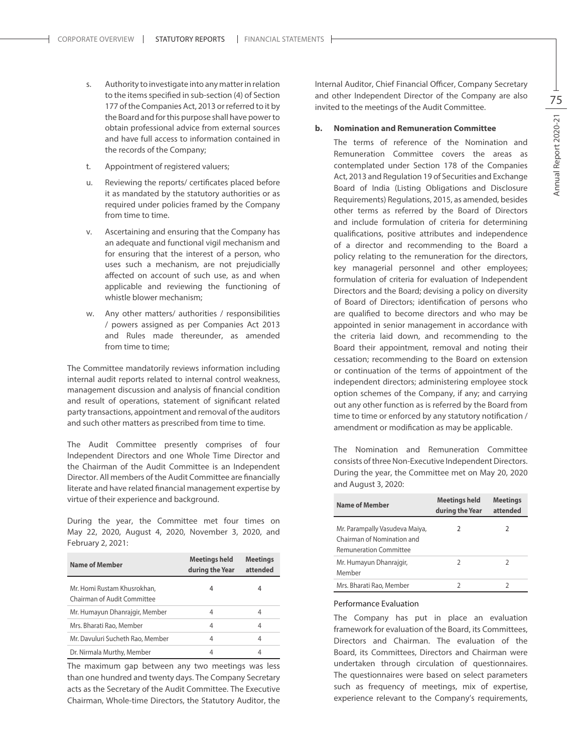- s. Authority to investigate into any matter in relation to the items specified in sub-section (4) of Section 177 of the Companies Act, 2013 or referred to it by the Board and for this purpose shall have power to obtain professional advice from external sources and have full access to information contained in the records of the Company;
- t. Appointment of registered valuers;
- u. Reviewing the reports/ certificates placed before it as mandated by the statutory authorities or as required under policies framed by the Company from time to time.
- v. Ascertaining and ensuring that the Company has an adequate and functional vigil mechanism and for ensuring that the interest of a person, who uses such a mechanism, are not prejudicially affected on account of such use, as and when applicable and reviewing the functioning of whistle blower mechanism;
- w. Any other matters/ authorities / responsibilities / powers assigned as per Companies Act 2013 and Rules made thereunder, as amended from time to time:

The Committee mandatorily reviews information including internal audit reports related to internal control weakness, management discussion and analysis of financial condition and result of operations, statement of significant related party transactions, appointment and removal of the auditors and such other matters as prescribed from time to time.

The Audit Committee presently comprises of four Independent Directors and one Whole Time Director and the Chairman of the Audit Committee is an Independent Director. All members of the Audit Committee are financially literate and have related financial management expertise by virtue of their experience and background.

During the year, the Committee met four times on May 22, 2020, August 4, 2020, November 3, 2020, and February 2, 2021:

| <b>Name of Member</b>                                      | <b>Meetings held</b><br>during the Year | <b>Meetings</b><br>attended |
|------------------------------------------------------------|-----------------------------------------|-----------------------------|
| Mr. Homi Rustam Khusrokhan,<br>Chairman of Audit Committee | 4                                       | 4                           |
| Mr. Humayun Dhanrajgir, Member                             | 4                                       | 4                           |
| Mrs. Bharati Rao, Member                                   | 4                                       | 4                           |
| Mr. Davuluri Sucheth Rao, Member                           | 4                                       | 4                           |
| Dr. Nirmala Murthy, Member                                 | 4                                       | 4                           |

The maximum gap between any two meetings was less than one hundred and twenty days. The Company Secretary acts as the Secretary of the Audit Committee. The Executive Chairman, Whole-time Directors, the Statutory Auditor, the

Internal Auditor, Chief Financial Officer, Company Secretary and other Independent Director of the Company are also invited to the meetings of the Audit Committee.

### **b. Nomination and Remuneration Committee**

The terms of reference of the Nomination and Remuneration Committee covers the areas as contemplated under Section 178 of the Companies Act, 2013 and Regulation 19 of Securities and Exchange Board of India (Listing Obligations and Disclosure Requirements) Regulations, 2015, as amended, besides other terms as referred by the Board of Directors and include formulation of criteria for determining qualifications, positive attributes and independence of a director and recommending to the Board a policy relating to the remuneration for the directors, key managerial personnel and other employees; formulation of criteria for evaluation of Independent Directors and the Board; devising a policy on diversity of Board of Directors; identification of persons who are qualified to become directors and who may be appointed in senior management in accordance with the criteria laid down, and recommending to the Board their appointment, removal and noting their cessation; recommending to the Board on extension or continuation of the terms of appointment of the independent directors; administering employee stock option schemes of the Company, if any; and carrying out any other function as is referred by the Board from time to time or enforced by any statutory notification / amendment or modification as may be applicable.

The Nomination and Remuneration Committee consists of three Non-Executive Independent Directors. During the year, the Committee met on May 20, 2020 and August 3, 2020:

| Name of Member                                                                                | <b>Meetings held</b><br>during the Year | <b>Meetings</b><br>attended |
|-----------------------------------------------------------------------------------------------|-----------------------------------------|-----------------------------|
| Mr. Parampally Vasudeva Maiya,<br>Chairman of Nomination and<br><b>Remuneration Committee</b> | 2                                       | 2                           |
| Mr. Humayun Dhanrajgir,<br>Member                                                             | $\mathcal{I}$                           |                             |
| Mrs. Bharati Rao, Member                                                                      |                                         |                             |

#### Performance Evaluation

The Company has put in place an evaluation framework for evaluation of the Board, its Committees, Directors and Chairman. The evaluation of the Board, its Committees, Directors and Chairman were undertaken through circulation of questionnaires. The questionnaires were based on select parameters such as frequency of meetings, mix of expertise, experience relevant to the Company's requirements,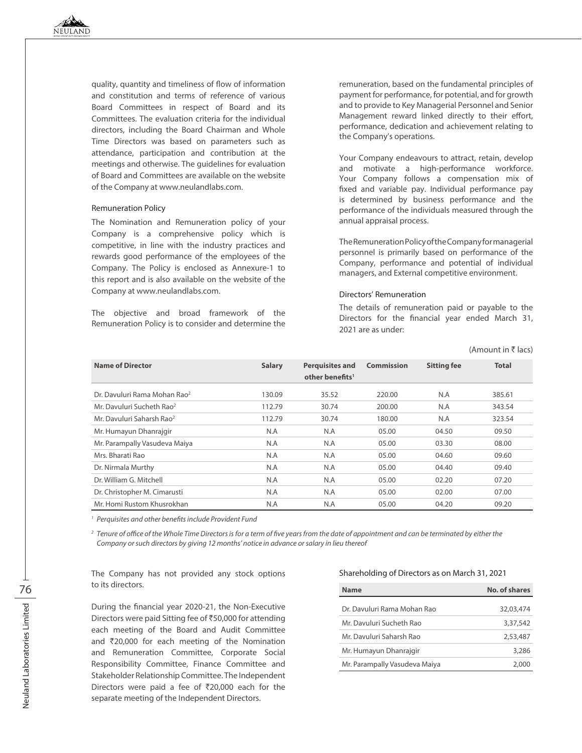quality, quantity and timeliness of flow of information and constitution and terms of reference of various Board Committees in respect of Board and its Committees. The evaluation criteria for the individual directors, including the Board Chairman and Whole Time Directors was based on parameters such as attendance, participation and contribution at the meetings and otherwise. The guidelines for evaluation of Board and Committees are available on the website of the Company at www.neulandlabs.com.

#### Remuneration Policy

The Nomination and Remuneration policy of your Company is a comprehensive policy which is competitive, in line with the industry practices and rewards good performance of the employees of the Company. The Policy is enclosed as Annexure-1 to this report and is also available on the website of the Company at www.neulandlabs.com.

The objective and broad framework of the Remuneration Policy is to consider and determine the

remuneration, based on the fundamental principles of payment for performance, for potential, and for growth and to provide to Key Managerial Personnel and Senior Management reward linked directly to their effort, performance, dedication and achievement relating to the Company's operations.

Your Company endeavours to attract, retain, develop and motivate a high-performance workforce. Your Company follows a compensation mix of fixed and variable pay. Individual performance pay is determined by business performance and the performance of the individuals measured through the annual appraisal process.

The Remuneration Policy of the Company for managerial personnel is primarily based on performance of the Company, performance and potential of individual managers, and External competitive environment.

#### Directors' Remuneration

The details of remuneration paid or payable to the Directors for the financial year ended March 31, 2021 are as under:

|                                          |               |                                                       |            |                    | $(1 \text{ m})$ |
|------------------------------------------|---------------|-------------------------------------------------------|------------|--------------------|-----------------|
| <b>Name of Director</b>                  | <b>Salary</b> | <b>Perquisites and</b><br>other benefits <sup>1</sup> | Commission | <b>Sitting fee</b> | <b>Total</b>    |
| Dr. Davuluri Rama Mohan Rao <sup>2</sup> | 130.09        | 35.52                                                 | 220.00     | N.A                | 385.61          |
| Mr. Davuluri Sucheth Rao <sup>2</sup>    | 112.79        | 30.74                                                 | 200.00     | N.A                | 343.54          |
| Mr. Davuluri Saharsh Rao <sup>2</sup>    | 112.79        | 30.74                                                 | 180.00     | N.A                | 323.54          |
| Mr. Humayun Dhanrajgir                   | N.A           | N.A                                                   | 05.00      | 04.50              | 09.50           |
| Mr. Parampally Vasudeva Maiya            | N.A           | N.A                                                   | 05.00      | 03.30              | 08.00           |
| Mrs. Bharati Rao                         | N.A           | N.A                                                   | 05.00      | 04.60              | 09.60           |
| Dr. Nirmala Murthy                       | N.A           | N.A                                                   | 05.00      | 04.40              | 09.40           |
| Dr. William G. Mitchell                  | N.A           | N.A                                                   | 05.00      | 02.20              | 07.20           |
| Dr. Christopher M. Cimarusti             | N.A           | N.A                                                   | 05.00      | 02.00              | 07.00           |
| Mr. Homi Rustom Khusrokhan               | N.A           | N.A                                                   | 05.00      | 04.20              | 09.20           |

*<sup>1</sup> Perquisites and other benefits include Provident Fund*

*<sup>2</sup> Tenure of office of the Whole Time Directors is for a term of five years from the date of appointment and can be terminated by either the Company or such directors by giving 12 months' notice in advance or salary in lieu thereof*

The Company has not provided any stock options to its directors.

During the financial year 2020-21, the Non-Executive Directors were paid Sitting fee of ₹50,000 for attending each meeting of the Board and Audit Committee and  $\bar{\tau}$ 20,000 for each meeting of the Nomination and Remuneration Committee, Corporate Social Responsibility Committee, Finance Committee and Stakeholder Relationship Committee. The Independent Directors were paid a fee of  $\overline{2}20,000$  each for the separate meeting of the Independent Directors.

#### Shareholding of Directors as on March 31, 2021

| <b>Name</b>                   | No. of shares |
|-------------------------------|---------------|
| Dr. Davuluri Rama Mohan Rao   | 32,03,474     |
| Mr. Davuluri Sucheth Rao      | 3,37,542      |
| Mr. Davuluri Saharsh Rao      | 2,53,487      |
| Mr. Humayun Dhanrajgir        | 3,286         |
| Mr. Parampally Vasudeva Maiya | 2,000         |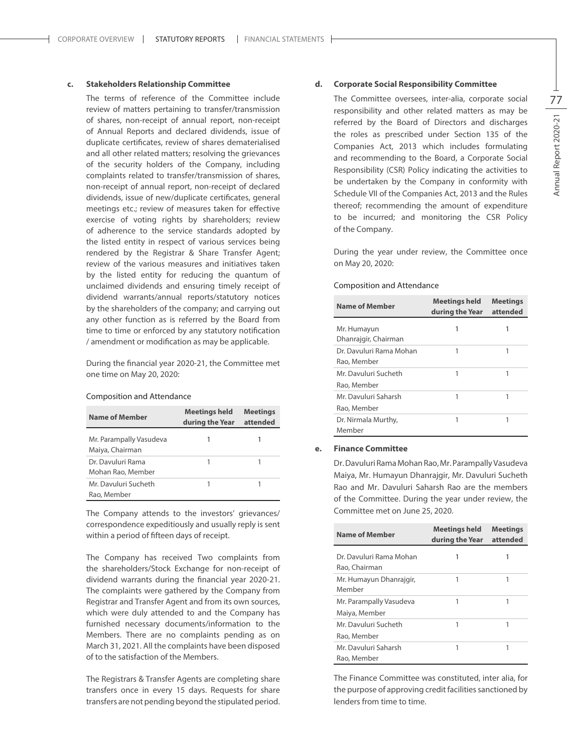# **c. Stakeholders Relationship Committee**

The terms of reference of the Committee include review of matters pertaining to transfer/transmission of shares, non-receipt of annual report, non-receipt of Annual Reports and declared dividends, issue of duplicate certificates, review of shares dematerialised and all other related matters; resolving the grievances of the security holders of the Company, including complaints related to transfer/transmission of shares, non-receipt of annual report, non-receipt of declared dividends, issue of new/duplicate certificates, general meetings etc.; review of measures taken for effective exercise of voting rights by shareholders; review of adherence to the service standards adopted by the listed entity in respect of various services being rendered by the Registrar & Share Transfer Agent; review of the various measures and initiatives taken by the listed entity for reducing the quantum of unclaimed dividends and ensuring timely receipt of dividend warrants/annual reports/statutory notices by the shareholders of the company; and carrying out any other function as is referred by the Board from time to time or enforced by any statutory notification / amendment or modification as may be applicable.

During the financial year 2020-21, the Committee met one time on May 20, 2020:

#### Composition and Attendance

| <b>Name of Member</b>                      | Meetings held<br>during the Year | <b>Meetings</b><br>attended |
|--------------------------------------------|----------------------------------|-----------------------------|
| Mr. Parampally Vasudeva<br>Maiya, Chairman |                                  |                             |
| Dr. Davuluri Rama<br>Mohan Rao, Member     |                                  |                             |
| Mr. Davuluri Sucheth<br>Rao, Member        |                                  |                             |

The Company attends to the investors' grievances/ correspondence expeditiously and usually reply is sent within a period of fifteen days of receipt.

The Company has received Two complaints from the shareholders/Stock Exchange for non-receipt of dividend warrants during the financial year 2020-21. The complaints were gathered by the Company from Registrar and Transfer Agent and from its own sources, which were duly attended to and the Company has furnished necessary documents/information to the Members. There are no complaints pending as on March 31, 2021. All the complaints have been disposed of to the satisfaction of the Members.

The Registrars & Transfer Agents are completing share transfers once in every 15 days. Requests for share transfers are not pending beyond the stipulated period.

#### **d. Corporate Social Responsibility Committee**

The Committee oversees, inter-alia, corporate social responsibility and other related matters as may be referred by the Board of Directors and discharges the roles as prescribed under Section 135 of the Companies Act, 2013 which includes formulating and recommending to the Board, a Corporate Social Responsibility (CSR) Policy indicating the activities to be undertaken by the Company in conformity with Schedule VII of the Companies Act, 2013 and the Rules thereof; recommending the amount of expenditure to be incurred; and monitoring the CSR Policy of the Company.

During the year under review, the Committee once on May 20, 2020:

#### Composition and Attendance

| <b>Name of Member</b>                  | Meetings held<br>during the Year | <b>Meetings</b><br>attended |
|----------------------------------------|----------------------------------|-----------------------------|
| Mr. Humayun<br>Dhanrajgir, Chairman    |                                  |                             |
| Dr. Davuluri Rama Mohan<br>Rao, Member |                                  |                             |
| Mr. Davuluri Sucheth<br>Rao, Member    | 1                                |                             |
| Mr. Davuluri Saharsh<br>Rao, Member    |                                  |                             |
| Dr. Nirmala Murthy,<br>Member          |                                  |                             |

#### **e. Finance Committee**

Dr. Davuluri Rama Mohan Rao, Mr. Parampally Vasudeva Maiya, Mr. Humayun Dhanrajgir, Mr. Davuluri Sucheth Rao and Mr. Davuluri Saharsh Rao are the members of the Committee. During the year under review, the Committee met on June 25, 2020.

| Name of Member                           | Meetings held<br>during the Year | <b>Meetings</b><br>attended |
|------------------------------------------|----------------------------------|-----------------------------|
| Dr. Davuluri Rama Mohan<br>Rao, Chairman | 1                                | 1                           |
| Mr. Humayun Dhanrajgir,<br>Member        | 1                                | 1                           |
| Mr. Parampally Vasudeva<br>Maiya, Member | 1                                | 1                           |
| Mr. Davuluri Sucheth<br>Rao, Member      | 1                                | 1                           |
| Mr. Davuluri Saharsh<br>Rao, Member      | 1                                |                             |

The Finance Committee was constituted, inter alia, for the purpose of approving credit facilities sanctioned by lenders from time to time.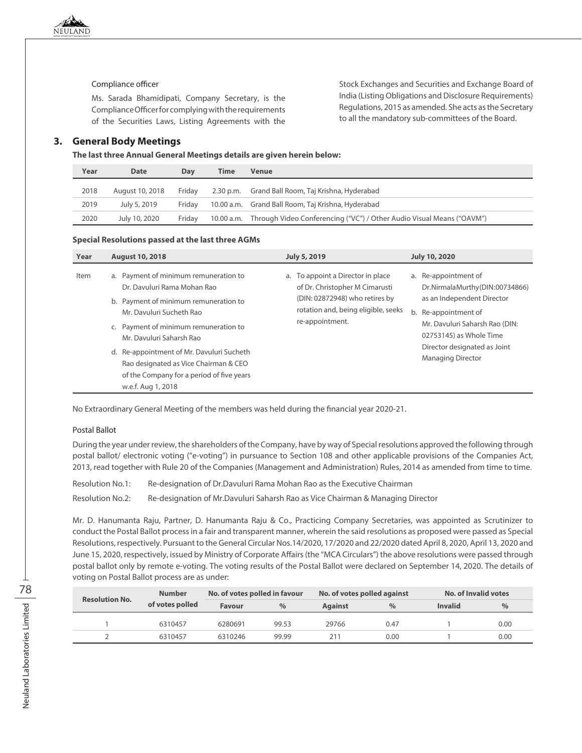### Compliance officer

Ms. Sarada Bhamidipati, Company Secretary, is the Compliance Officer for complying with the requirements of the Securities Laws, Listing Agreements with the

# **3. General Body Meetings**

**The last three Annual General Meetings details are given herein below:**

| Year | <b>Date</b>     | Dav    | Time       | <b>Venue</b>                                                          |
|------|-----------------|--------|------------|-----------------------------------------------------------------------|
| 2018 | August 10, 2018 | Fridav |            | 2.30 p.m. Grand Ball Room, Taj Krishna, Hyderabad                     |
| 2019 | July 5, 2019    | Fridav |            | 10.00 a.m. Grand Ball Room, Taj Krishna, Hyderabad                    |
| 2020 | July 10, 2020   | Fridav | 10.00 a.m. | Through Video Conferencing ("VC") / Other Audio Visual Means ("OAVM") |

Stock Exchanges and Securities and Exchange Board of India (Listing Obligations and Disclosure Requirements) Regulations, 2015 as amended. She acts as the Secretary to all the mandatory sub-committees of the Board.

#### **Special Resolutions passed at the last three AGMs**

| Year | <b>August 10, 2018</b>                                                                                                                                                                                                                                                                                                                                                  | <b>July 5, 2019</b>                                                                                                                                             | <b>July 10, 2020</b>                                                                                                                                                                                                                  |
|------|-------------------------------------------------------------------------------------------------------------------------------------------------------------------------------------------------------------------------------------------------------------------------------------------------------------------------------------------------------------------------|-----------------------------------------------------------------------------------------------------------------------------------------------------------------|---------------------------------------------------------------------------------------------------------------------------------------------------------------------------------------------------------------------------------------|
| Item | a. Payment of minimum remuneration to<br>Dr. Davuluri Rama Mohan Rao<br>b. Payment of minimum remuneration to<br>Mr. Davuluri Sucheth Rao<br>c. Payment of minimum remuneration to<br>Mr. Davuluri Saharsh Rao<br>d. Re-appointment of Mr. Davuluri Sucheth<br>Rao designated as Vice Chairman & CEO<br>of the Company for a period of five years<br>w.e.f. Aug 1, 2018 | a. To appoint a Director in place<br>of Dr. Christopher M Cimarusti<br>(DIN: 02872948) who retires by<br>rotation and, being eligible, seeks<br>re-appointment. | a. Re-appointment of<br>Dr.NirmalaMurthy(DIN:00734866)<br>as an Independent Director<br>b. Re-appointment of<br>Mr. Davuluri Saharsh Rao (DIN:<br>02753145) as Whole Time<br>Director designated as Joint<br><b>Managing Director</b> |

No Extraordinary General Meeting of the members was held during the financial year 2020-21.

#### Postal Ballot

During the year under review, the shareholders of the Company, have by way of Special resolutions approved the following through postal ballot/ electronic voting ("e-voting") in pursuance to Section 108 and other applicable provisions of the Companies Act, 2013, read together with Rule 20 of the Companies (Management and Administration) Rules, 2014 as amended from time to time.

Resolution No.1: Re-designation of Dr.Davuluri Rama Mohan Rao as the Executive Chairman Resolution No.2: Re-designation of Mr.Davuluri Saharsh Rao as Vice Chairman & Managing Director

Mr. D. Hanumanta Raju, Partner, D. Hanumanta Raju & Co., Practicing Company Secretaries, was appointed as Scrutinizer to conduct the Postal Ballot process in a fair and transparent manner, wherein the said resolutions as proposed were passed as Special Resolutions, respectively. Pursuant to the General Circular Nos.14/2020, 17/2020 and 22/2020 dated April 8, 2020, April 13, 2020 and June 15, 2020, respectively, issued by Ministry of Corporate Affairs (the "MCA Circulars") the above resolutions were passed through postal ballot only by remote e-voting. The voting results of the Postal Ballot were declared on September 14, 2020. The details of voting on Postal Ballot process are as under:

| <b>Resolution No.</b> | <b>Number</b>   | No. of votes polled in favour |       | No. of votes polled against |      | No. of Invalid votes |               |
|-----------------------|-----------------|-------------------------------|-------|-----------------------------|------|----------------------|---------------|
|                       | of votes polled | <b>Favour</b>                 | $\%$  | <b>Against</b>              | $\%$ | <b>Invalid</b>       | $\frac{0}{0}$ |
|                       | 6310457         | 6280691                       | 99.53 | 29766                       | 0.47 |                      | 0.00          |
|                       | 6310457         | 6310246                       | 99.99 | 211                         | 0.00 |                      | 0.00          |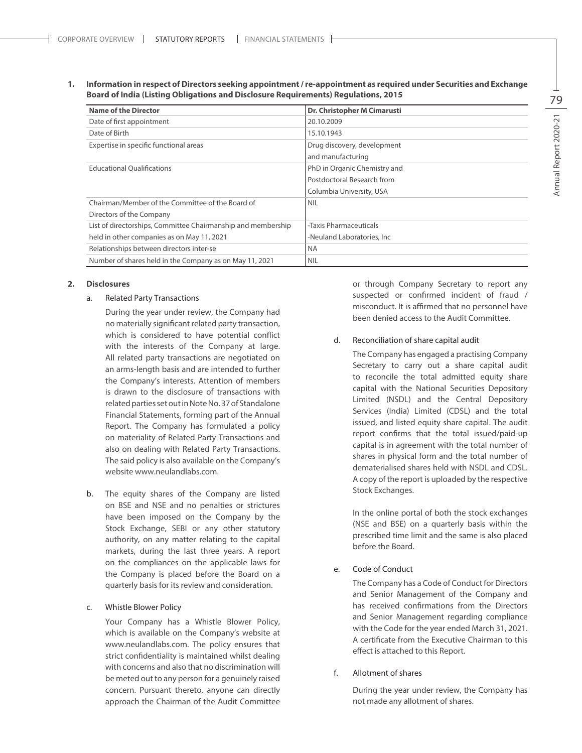**1. Information in respect of Directors seeking appointment / re-appointment as required under Securities and Exchange Board of India (Listing Obligations and Disclosure Requirements) Regulations, 2015**

| <b>Name of the Director</b>                                  | Dr. Christopher M Cimarusti  |
|--------------------------------------------------------------|------------------------------|
| Date of first appointment                                    | 20.10.2009                   |
| Date of Birth                                                | 15.10.1943                   |
| Expertise in specific functional areas                       | Drug discovery, development  |
|                                                              | and manufacturing            |
| <b>Educational Oualifications</b>                            | PhD in Organic Chemistry and |
|                                                              | Postdoctoral Research from   |
|                                                              | Columbia University, USA     |
| Chairman/Member of the Committee of the Board of             | <b>NIL</b>                   |
| Directors of the Company                                     |                              |
| List of directorships, Committee Chairmanship and membership | -Taxis Pharmaceuticals       |
| held in other companies as on May 11, 2021                   | -Neuland Laboratories, Inc.  |
| Relationships between directors inter-se                     | <b>NA</b>                    |
| Number of shares held in the Company as on May 11, 2021      | <b>NIL</b>                   |

#### **2. Disclosures**

# a. Related Party Transactions

During the year under review, the Company had no materially significant related party transaction, which is considered to have potential conflict with the interests of the Company at large. All related party transactions are negotiated on an arms-length basis and are intended to further the Company's interests. Attention of members is drawn to the disclosure of transactions with related parties set out in Note No. 37 of Standalone Financial Statements, forming part of the Annual Report. The Company has formulated a policy on materiality of Related Party Transactions and also on dealing with Related Party Transactions. The said policy is also available on the Company's website www.neulandlabs.com.

b. The equity shares of the Company are listed on BSE and NSE and no penalties or strictures have been imposed on the Company by the Stock Exchange, SEBI or any other statutory authority, on any matter relating to the capital markets, during the last three years. A report on the compliances on the applicable laws for the Company is placed before the Board on a quarterly basis for its review and consideration.

#### c. Whistle Blower Policy

Your Company has a Whistle Blower Policy, which is available on the Company's website at www.neulandlabs.com. The policy ensures that strict confidentiality is maintained whilst dealing with concerns and also that no discrimination will be meted out to any person for a genuinely raised concern. Pursuant thereto, anyone can directly approach the Chairman of the Audit Committee or through Company Secretary to report any suspected or confirmed incident of fraud / misconduct. It is affirmed that no personnel have been denied access to the Audit Committee.

#### d. Reconciliation of share capital audit

The Company has engaged a practising Company Secretary to carry out a share capital audit to reconcile the total admitted equity share capital with the National Securities Depository Limited (NSDL) and the Central Depository Services (India) Limited (CDSL) and the total issued, and listed equity share capital. The audit report confirms that the total issued/paid-up capital is in agreement with the total number of shares in physical form and the total number of dematerialised shares held with NSDL and CDSL. A copy of the report is uploaded by the respective Stock Exchanges.

In the online portal of both the stock exchanges (NSE and BSE) on a quarterly basis within the prescribed time limit and the same is also placed before the Board.

# e. Code of Conduct

The Company has a Code of Conduct for Directors and Senior Management of the Company and has received confirmations from the Directors and Senior Management regarding compliance with the Code for the year ended March 31, 2021. A certificate from the Executive Chairman to this effect is attached to this Report.

#### f. Allotment of shares

During the year under review, the Company has not made any allotment of shares.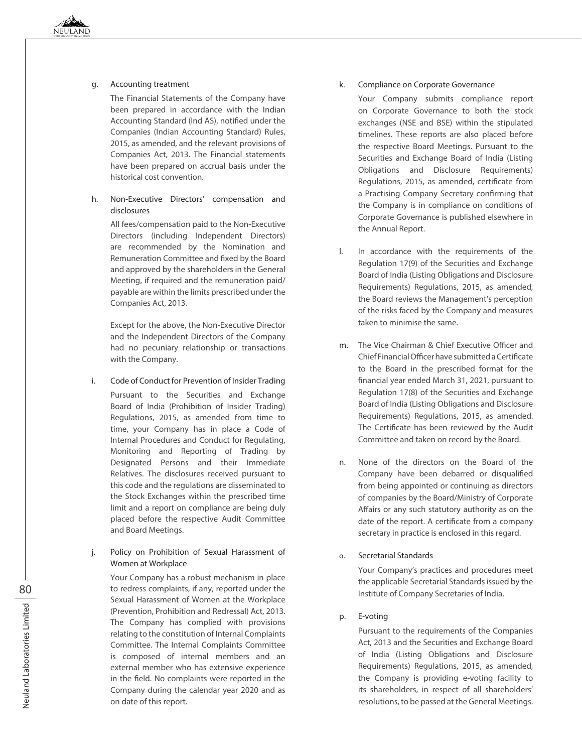# g. Accounting treatment

The Financial Statements of the Company have been prepared in accordance with the Indian Accounting Standard (Ind AS), notified under the Companies (Indian Accounting Standard) Rules, 2015, as amended, and the relevant provisions of Companies Act, 2013. The Financial statements have been prepared on accrual basis under the historical cost convention.

# h. Non-Executive Directors' compensation and disclosures

All fees/compensation paid to the Non-Executive Directors (including Independent Directors) are recommended by the Nomination and Remuneration Committee and fixed by the Board and approved by the shareholders in the General Meeting, if required and the remuneration paid/ payable are within the limits prescribed under the Companies Act, 2013.

Except for the above, the Non-Executive Director and the Independent Directors of the Company had no pecuniary relationship or transactions with the Company.

- i. Code of Conduct for Prevention of Insider Trading Pursuant to the Securities and Exchange Board of India (Prohibition of Insider Trading) Regulations, 2015, as amended from time to time, your Company has in place a Code of Internal Procedures and Conduct for Regulating, Monitoring and Reporting of Trading by Designated Persons and their Immediate Relatives. The disclosures received pursuant to this code and the regulations are disseminated to the Stock Exchanges within the prescribed time limit and a report on compliance are being duly placed before the respective Audit Committee and Board Meetings.
- j. Policy on Prohibition of Sexual Harassment of Women at Workplace

Your Company has a robust mechanism in place to redress complaints, if any, reported under the Sexual Harassment of Women at the Workplace (Prevention, Prohibition and Redressal) Act, 2013. The Company has complied with provisions relating to the constitution of Internal Complaints Committee. The Internal Complaints Committee is composed of internal members and an external member who has extensive experience in the field. No complaints were reported in the Company during the calendar year 2020 and as on date of this report.

# k. Compliance on Corporate Governance

Your Company submits compliance report on Corporate Governance to both the stock exchanges (NSE and BSE) within the stipulated timelines. These reports are also placed before the respective Board Meetings. Pursuant to the Securities and Exchange Board of India (Listing Obligations and Disclosure Requirements) Regulations, 2015, as amended, certificate from a Practising Company Secretary confirming that the Company is in compliance on conditions of Corporate Governance is published elsewhere in the Annual Report.

- l. In accordance with the requirements of the Regulation 17(9) of the Securities and Exchange Board of India (Listing Obligations and Disclosure Requirements) Regulations, 2015, as amended, the Board reviews the Management's perception of the risks faced by the Company and measures taken to minimise the same.
- m. The Vice Chairman & Chief Executive Officer and Chief Financial Officer have submitted a Certificate to the Board in the prescribed format for the financial year ended March 31, 2021, pursuant to Regulation 17(8) of the Securities and Exchange Board of India (Listing Obligations and Disclosure Requirements) Regulations, 2015, as amended. The Certificate has been reviewed by the Audit Committee and taken on record by the Board.
- n. None of the directors on the Board of the Company have been debarred or disqualified from being appointed or continuing as directors of companies by the Board/Ministry of Corporate Affairs or any such statutory authority as on the date of the report. A certificate from a company secretary in practice is enclosed in this regard.

# o. Secretarial Standards

Your Company's practices and procedures meet the applicable Secretarial Standards issued by the Institute of Company Secretaries of India.

# p. E-voting

Pursuant to the requirements of the Companies Act, 2013 and the Securities and Exchange Board of India (Listing Obligations and Disclosure Requirements) Regulations, 2015, as amended, the Company is providing e-voting facility to its shareholders, in respect of all shareholders' resolutions, to be passed at the General Meetings.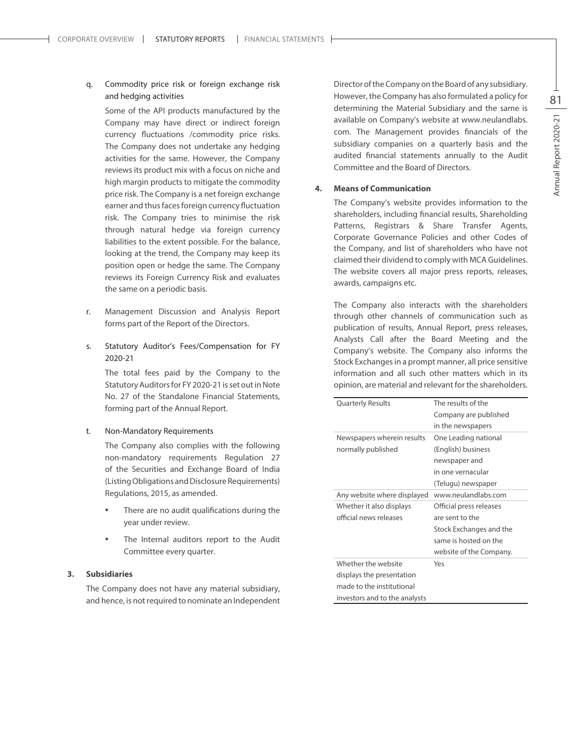# q. Commodity price risk or foreign exchange risk and hedging activities

Some of the API products manufactured by the Company may have direct or indirect foreign currency fluctuations /commodity price risks. The Company does not undertake any hedging activities for the same. However, the Company reviews its product mix with a focus on niche and high margin products to mitigate the commodity price risk. The Company is a net foreign exchange earner and thus faces foreign currency fluctuation risk. The Company tries to minimise the risk through natural hedge via foreign currency liabilities to the extent possible. For the balance, looking at the trend, the Company may keep its position open or hedge the same. The Company reviews its Foreign Currency Risk and evaluates the same on a periodic basis.

- r. Management Discussion and Analysis Report forms part of the Report of the Directors.
- s. Statutory Auditor's Fees/Compensation for FY 2020-21

The total fees paid by the Company to the Statutory Auditors for FY 2020-21 is set out in Note No. 27 of the Standalone Financial Statements, forming part of the Annual Report.

#### t. Non-Mandatory Requirements

The Company also complies with the following non-mandatory requirements Regulation 27 of the Securities and Exchange Board of India (Listing Obligations and Disclosure Requirements) Regulations, 2015, as amended.

- There are no audit qualifications during the year under review.
- The Internal auditors report to the Audit Committee every quarter.

# **3. Subsidiaries**

The Company does not have any material subsidiary, and hence, is not required to nominate an Independent Director of the Company on the Board of any subsidiary. However, the Company has also formulated a policy for determining the Material Subsidiary and the same is available on Company's website at www.neulandlabs. com. The Management provides financials of the subsidiary companies on a quarterly basis and the audited financial statements annually to the Audit Committee and the Board of Directors.

#### **4. Means of Communication**

The Company's website provides information to the shareholders, including financial results, Shareholding Patterns, Registrars & Share Transfer Agents, Corporate Governance Policies and other Codes of the Company, and list of shareholders who have not claimed their dividend to comply with MCA Guidelines. The website covers all major press reports, releases, awards, campaigns etc.

The Company also interacts with the shareholders through other channels of communication such as publication of results, Annual Report, press releases, Analysts Call after the Board Meeting and the Company's website. The Company also informs the Stock Exchanges in a prompt manner, all price sensitive information and all such other matters which in its opinion, are material and relevant for the shareholders.

| <b>Quarterly Results</b>      | The results of the      |
|-------------------------------|-------------------------|
|                               | Company are published   |
|                               | in the newspapers       |
| Newspapers wherein results    | One Leading national    |
| normally published            | (English) business      |
|                               | newspaper and           |
|                               | in one vernacular       |
|                               | (Telugu) newspaper      |
| Any website where displayed   | www.neulandlabs.com     |
| Whether it also displays      | Official press releases |
| official news releases        | are sent to the         |
|                               | Stock Exchanges and the |
|                               | same is hosted on the   |
|                               | website of the Company. |
| Whether the website           | Yes                     |
| displays the presentation     |                         |
| made to the institutional     |                         |
| investors and to the analysts |                         |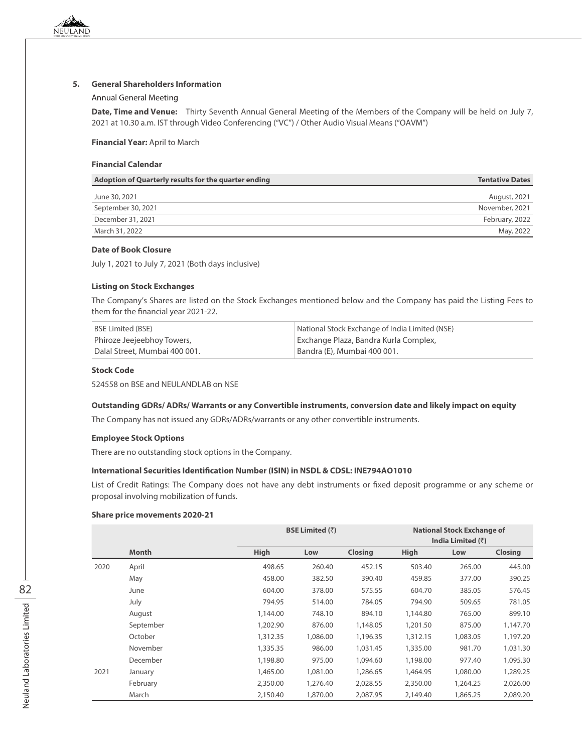# **5. General Shareholders Information**

#### Annual General Meeting

**Date, Time and Venue:** Thirty Seventh Annual General Meeting of the Members of the Company will be held on July 7, 2021 at 10.30 a.m. IST through Video Conferencing ("VC") / Other Audio Visual Means ("OAVM")

# **Financial Year:** April to March

# **Financial Calendar**

| Adoption of Quarterly results for the quarter ending | <b>Tentative Dates</b> |
|------------------------------------------------------|------------------------|
| June 30, 2021                                        | August, 2021           |
| September 30, 2021                                   | November, 2021         |
| December 31, 2021                                    | February, 2022         |
| March 31, 2022                                       | May, 2022              |

# **Date of Book Closure**

July 1, 2021 to July 7, 2021 (Both days inclusive)

#### **Listing on Stock Exchanges**

The Company's Shares are listed on the Stock Exchanges mentioned below and the Company has paid the Listing Fees to them for the financial year 2021-22.

| BSE Limited (BSE)             | National Stock Exchange of India Limited (NSE) |
|-------------------------------|------------------------------------------------|
| Phiroze Jeejeebhoy Towers,    | Exchange Plaza, Bandra Kurla Complex,          |
| Dalal Street, Mumbai 400 001. | Bandra (E), Mumbai 400 001.                    |

#### **Stock Code**

524558 on BSE and NEULANDLAB on NSE

#### **Outstanding GDRs/ ADRs/ Warrants or any Convertible instruments, conversion date and likely impact on equity**

The Company has not issued any GDRs/ADRs/warrants or any other convertible instruments.

#### **Employee Stock Options**

There are no outstanding stock options in the Company.

# **International Securities Identification Number (ISIN) in NSDL & CDSL: INE794AO1010**

List of Credit Ratings: The Company does not have any debt instruments or fixed deposit programme or any scheme or proposal involving mobilization of funds.

#### **Share price movements 2020-21**

|      |              | <b>BSE Limited (<math>\overline{z}</math>)</b> |          | <b>National Stock Exchange of</b><br>India Limited $(3)$ |          |          |                |
|------|--------------|------------------------------------------------|----------|----------------------------------------------------------|----------|----------|----------------|
|      | <b>Month</b> | High                                           | Low      | <b>Closing</b>                                           | High     | Low      | <b>Closing</b> |
| 2020 | April        | 498.65                                         | 260.40   | 452.15                                                   | 503.40   | 265.00   | 445.00         |
|      | May          | 458.00                                         | 382.50   | 390.40                                                   | 459.85   | 377.00   | 390.25         |
|      | June         | 604.00                                         | 378.00   | 575.55                                                   | 604.70   | 385.05   | 576.45         |
|      | July         | 794.95                                         | 514.00   | 784.05                                                   | 794.90   | 509.65   | 781.05         |
|      | August       | 1,144.00                                       | 748.10   | 894.10                                                   | 1,144.80 | 765.00   | 899.10         |
|      | September    | 1,202.90                                       | 876.00   | 1,148.05                                                 | 1,201.50 | 875.00   | 1,147.70       |
|      | October      | 1,312.35                                       | 1,086.00 | 1,196.35                                                 | 1,312.15 | 1,083.05 | 1,197.20       |
|      | November     | 1,335.35                                       | 986.00   | 1,031.45                                                 | 1,335.00 | 981.70   | 1,031.30       |
|      | December     | 1,198.80                                       | 975.00   | 1,094.60                                                 | 1,198.00 | 977.40   | 1,095.30       |
| 2021 | January      | 1,465.00                                       | 1,081.00 | 1,286.65                                                 | 1,464.95 | 1,080.00 | 1,289.25       |
|      | February     | 2,350.00                                       | 1,276.40 | 2,028.55                                                 | 2,350.00 | 1,264.25 | 2,026.00       |
|      | March        | 2,150.40                                       | 1,870.00 | 2,087.95                                                 | 2,149.40 | 1,865.25 | 2,089.20       |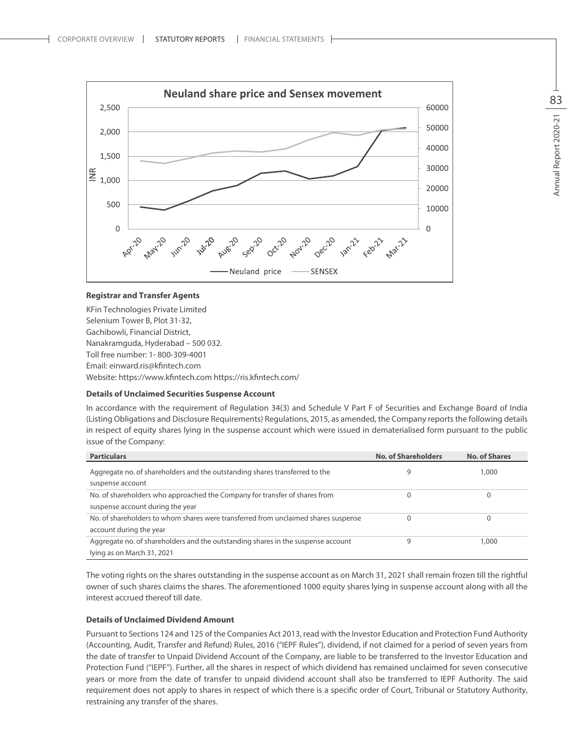

#### **Registrar and Transfer Agents**

KFin Technologies Private Limited Selenium Tower B, Plot 31-32, Gachibowli, Financial District, Nanakramguda, Hyderabad – 500 032. Toll free number: 1- 800-309-4001 Email: einward.ris@kfintech.com Website: https://www.kfintech.com https://ris.kfintech.com/

#### **Details of Unclaimed Securities Suspense Account**

In accordance with the requirement of Regulation 34(3) and Schedule V Part F of Securities and Exchange Board of India (Listing Obligations and Disclosure Requirements) Regulations, 2015, as amended, the Company reports the following details in respect of equity shares lying in the suspense account which were issued in dematerialised form pursuant to the public issue of the Company:

| <b>Particulars</b>                                                                              | <b>No. of Shareholders</b> | <b>No. of Shares</b> |
|-------------------------------------------------------------------------------------------------|----------------------------|----------------------|
| Aggregate no. of shareholders and the outstanding shares transferred to the<br>suspense account | 9                          | 1,000                |
| No. of shareholders who approached the Company for transfer of shares from                      |                            |                      |
| suspense account during the year                                                                |                            |                      |
| No. of shareholders to whom shares were transferred from unclaimed shares suspense              |                            |                      |
| account during the year                                                                         |                            |                      |
| Aggregate no. of shareholders and the outstanding shares in the suspense account                | q                          | 1,000                |
| lying as on March 31, 2021                                                                      |                            |                      |

The voting rights on the shares outstanding in the suspense account as on March 31, 2021 shall remain frozen till the rightful owner of such shares claims the shares. The aforementioned 1000 equity shares lying in suspense account along with all the interest accrued thereof till date.

#### **Details of Unclaimed Dividend Amount**

Pursuant to Sections 124 and 125 of the Companies Act 2013, read with the Investor Education and Protection Fund Authority (Accounting, Audit, Transfer and Refund) Rules, 2016 ("IEPF Rules"), dividend, if not claimed for a period of seven years from the date of transfer to Unpaid Dividend Account of the Company, are liable to be transferred to the Investor Education and Protection Fund ("IEPF"). Further, all the shares in respect of which dividend has remained unclaimed for seven consecutive years or more from the date of transfer to unpaid dividend account shall also be transferred to IEPF Authority. The said requirement does not apply to shares in respect of which there is a specific order of Court, Tribunal or Statutory Authority, restraining any transfer of the shares.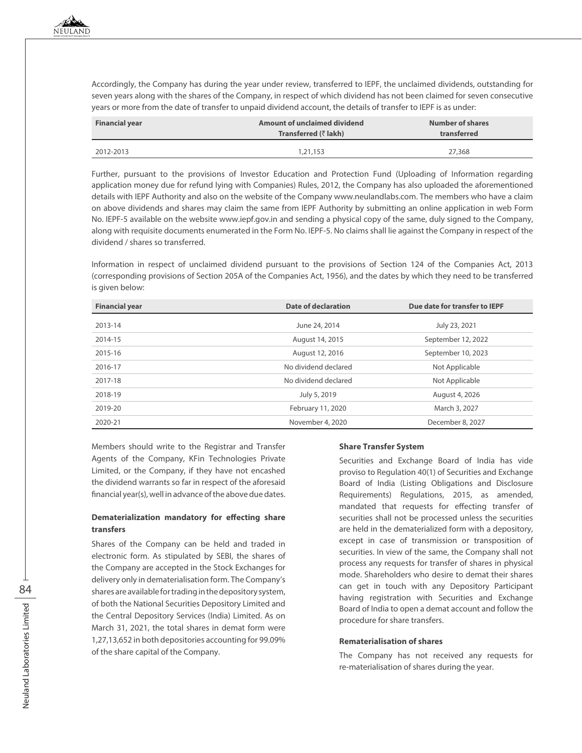Accordingly, the Company has during the year under review, transferred to IEPF, the unclaimed dividends, outstanding for seven years along with the shares of the Company, in respect of which dividend has not been claimed for seven consecutive years or more from the date of transfer to unpaid dividend account, the details of transfer to IEPF is as under:

| <b>Financial year</b> | Amount of unclaimed dividend<br>Transferred (₹ lakh) | <b>Number of shares</b><br>transferred |
|-----------------------|------------------------------------------------------|----------------------------------------|
| 2012-2013             | 1,21,153                                             | 27,368                                 |

Further, pursuant to the provisions of Investor Education and Protection Fund (Uploading of Information regarding application money due for refund lying with Companies) Rules, 2012, the Company has also uploaded the aforementioned details with IEPF Authority and also on the website of the Company www.neulandlabs.com. The members who have a claim on above dividends and shares may claim the same from IEPF Authority by submitting an online application in web Form No. IEPF-5 available on the website www.iepf.gov.in and sending a physical copy of the same, duly signed to the Company, along with requisite documents enumerated in the Form No. IEPF-5. No claims shall lie against the Company in respect of the dividend / shares so transferred.

Information in respect of unclaimed dividend pursuant to the provisions of Section 124 of the Companies Act, 2013 (corresponding provisions of Section 205A of the Companies Act, 1956), and the dates by which they need to be transferred is given below:

| <b>Financial year</b> | Date of declaration  | Due date for transfer to IEPF |
|-----------------------|----------------------|-------------------------------|
| 2013-14               | June 24, 2014        | July 23, 2021                 |
| 2014-15               | August 14, 2015      | September 12, 2022            |
| 2015-16               | August 12, 2016      | September 10, 2023            |
| 2016-17               | No dividend declared | Not Applicable                |
| 2017-18               | No dividend declared | Not Applicable                |
| 2018-19               | July 5, 2019         | August 4, 2026                |
| 2019-20               | February 11, 2020    | March 3, 2027                 |
| 2020-21               | November 4, 2020     | December 8, 2027              |

Members should write to the Registrar and Transfer Agents of the Company, KFin Technologies Private Limited, or the Company, if they have not encashed the dividend warrants so far in respect of the aforesaid financial year(s), well in advance of the above due dates.

# **Dematerialization mandatory for effecting share transfers**

Shares of the Company can be held and traded in electronic form. As stipulated by SEBI, the shares of the Company are accepted in the Stock Exchanges for delivery only in dematerialisation form. The Company's shares are available for trading in the depository system, of both the National Securities Depository Limited and the Central Depository Services (India) Limited. As on March 31, 2021, the total shares in demat form were 1,27,13,652 in both depositories accounting for 99.09% of the share capital of the Company.

# **Share Transfer System**

Securities and Exchange Board of India has vide proviso to Regulation 40(1) of Securities and Exchange Board of India (Listing Obligations and Disclosure Requirements) Regulations, 2015, as amended, mandated that requests for effecting transfer of securities shall not be processed unless the securities are held in the dematerialized form with a depository, except in case of transmission or transposition of securities. In view of the same, the Company shall not process any requests for transfer of shares in physical mode. Shareholders who desire to demat their shares can get in touch with any Depository Participant having registration with Securities and Exchange Board of India to open a demat account and follow the procedure for share transfers.

#### **Rematerialisation of shares**

The Company has not received any requests for re-materialisation of shares during the year.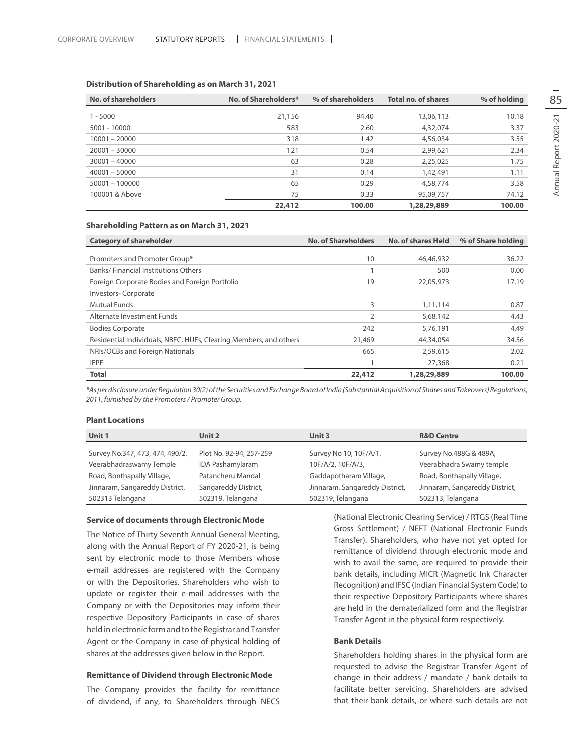| No. of shareholders | No. of Shareholders* | % of shareholders | <b>Total no. of shares</b> | % of holding |
|---------------------|----------------------|-------------------|----------------------------|--------------|
| $1 - 5000$          | 21,156               | 94.40             | 13,06,113                  | 10.18        |
| 5001 - 10000        | 583                  | 2.60              | 4,32,074                   | 3.37         |
| $10001 - 20000$     | 318                  | 1.42              | 4,56,034                   | 3.55         |
| $20001 - 30000$     | 121                  | 0.54              | 2,99,621                   | 2.34         |
| $30001 - 40000$     | 63                   | 0.28              | 2,25,025                   | 1.75         |
| $40001 - 50000$     | 31                   | 0.14              | 1,42,491                   | 1.11         |
| $50001 - 100000$    | 65                   | 0.29              | 4,58,774                   | 3.58         |
| 100001 & Above      | 75                   | 0.33              | 95,09,757                  | 74.12        |
|                     | 22,412               | 100.00            | 1,28,29,889                | 100.00       |

# **Distribution of Shareholding as on March 31, 2021**

#### **Shareholding Pattern as on March 31, 2021**

| <b>Category of shareholder</b>                                    | <b>No. of Shareholders</b> | <b>No. of shares Held</b> | % of Share holding |
|-------------------------------------------------------------------|----------------------------|---------------------------|--------------------|
| Promoters and Promoter Group*                                     | 10                         | 46,46,932                 | 36.22              |
| Banks/Financial Institutions Others                               |                            | 500                       | 0.00               |
| Foreign Corporate Bodies and Foreign Portfolio                    | 19                         | 22,05,973                 | 17.19              |
| Investors-Corporate                                               |                            |                           |                    |
| <b>Mutual Funds</b>                                               | 3                          | 1,11,114                  | 0.87               |
| Alternate Investment Funds                                        | 2                          | 5,68,142                  | 4.43               |
| <b>Bodies Corporate</b>                                           | 242                        | 5,76,191                  | 4.49               |
| Residential Individuals, NBFC, HUFs, Clearing Members, and others | 21,469                     | 44,34,054                 | 34.56              |
| NRIs/OCBs and Foreign Nationals                                   | 665                        | 2,59,615                  | 2.02               |
| <b>IEPF</b>                                                       |                            | 27,368                    | 0.21               |
| <b>Total</b>                                                      | 22,412                     | 1,28,29,889               | 100.00             |

*\*As per disclosure under Regulation 30(2) of the Securities and Exchange Board of India (Substantial Acquisition of Shares and Takeovers) Regulations, 2011, furnished by the Promoters / Promoter Group.*

#### **Plant Locations**

| Unit 1                          | Unit 2                  | Unit 3                         | <b>R&amp;D Centre</b>          |
|---------------------------------|-------------------------|--------------------------------|--------------------------------|
| Survey No.347, 473, 474, 490/2, | Plot No. 92-94, 257-259 | Survey No 10, 10F/A/1,         | Survey No.488G & 489A,         |
| Veerabhadraswamy Temple         | <b>IDA Pashamylaram</b> | 10F/A/2, 10F/A/3,              | Veerabhadra Swamy temple       |
| Road, Bonthapally Village,      | Patancheru Mandal       | Gaddapotharam Village,         | Road, Bonthapally Village,     |
| Jinnaram, Sangareddy District,  | Sangareddy District,    | Jinnaram, Sangareddy District, | Jinnaram, Sangareddy District, |
| 502313 Telangana                | 502319, Telangana       | 502319, Telangana              | 502313, Telangana              |

#### **Service of documents through Electronic Mode**

The Notice of Thirty Seventh Annual General Meeting, along with the Annual Report of FY 2020-21, is being sent by electronic mode to those Members whose e-mail addresses are registered with the Company or with the Depositories. Shareholders who wish to update or register their e-mail addresses with the Company or with the Depositories may inform their respective Depository Participants in case of shares held in electronic form and to the Registrar and Transfer Agent or the Company in case of physical holding of shares at the addresses given below in the Report.

#### **Remittance of Dividend through Electronic Mode**

The Company provides the facility for remittance of dividend, if any, to Shareholders through NECS (National Electronic Clearing Service) / RTGS (Real Time Gross Settlement) / NEFT (National Electronic Funds Transfer). Shareholders, who have not yet opted for remittance of dividend through electronic mode and wish to avail the same, are required to provide their bank details, including MICR (Magnetic Ink Character Recognition) and IFSC (Indian Financial System Code) to their respective Depository Participants where shares are held in the dematerialized form and the Registrar Transfer Agent in the physical form respectively.

#### **Bank Details**

Shareholders holding shares in the physical form are requested to advise the Registrar Transfer Agent of change in their address / mandate / bank details to facilitate better servicing. Shareholders are advised that their bank details, or where such details are not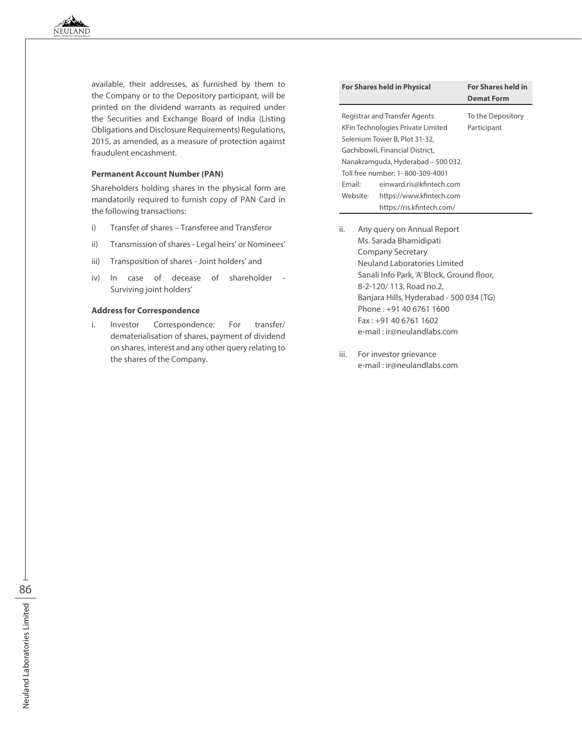available, their addresses, as furnished by them to the Company or to the Depository participant, will be printed on the dividend warrants as required under the Securities and Exchange Board of India (Listing Obligations and Disclosure Requirements) Regulations, 2015, as amended, as a measure of protection against fraudulent encashment.

# **Permanent Account Number (PAN)**

Shareholders holding shares in the physical form are mandatorily required to furnish copy of PAN Card in the following transactions:

- i) Transfer of shares Transferee and Transferor
- ii) Transmission of shares Legal heirs' or Nominees'
- iii) Transposition of shares Joint holders' and
- iv) In case of decease of shareholder Surviving joint holders'

# **Address for Correspondence**

i. Investor Correspondence: For transfer/ dematerialisation of shares, payment of dividend on shares, interest and any other query relating to the shares of the Company.

| <b>For Shares held in Physical</b> |                                                                                                                                                                                                                                                     | <b>For Shares held in</b><br><b>Demat Form</b> |
|------------------------------------|-----------------------------------------------------------------------------------------------------------------------------------------------------------------------------------------------------------------------------------------------------|------------------------------------------------|
| Fmail:<br>Website:                 | <b>Registrar and Transfer Agents</b><br>KFin Technologies Private Limited<br>Selenium Tower B, Plot 31-32,<br>Gachibowli, Financial District,<br>Nanakramguda, Hyderabad - 500 032.<br>Toll free number: 1-800-309-4001<br>einward.ris@kfintech.com | To the Depository<br>Participant               |
|                                    | https://www.kfintech.com<br>https://ris.kfintech.com/                                                                                                                                                                                               |                                                |

- ii. Any query on Annual Report Ms. Sarada Bhamidipati Company Secretary Neuland Laboratories Limited Sanali Info Park, 'A' Block, Ground floor, 8-2-120/ 113, Road no.2, Banjara Hills, Hyderabad - 500 034 (TG) Phone : +91 40 6761 1600 Fax : +91 40 6761 1602 e-mail : ir@neulandlabs.com
- iii. For investor grievance e-mail : ir@neulandlabs.com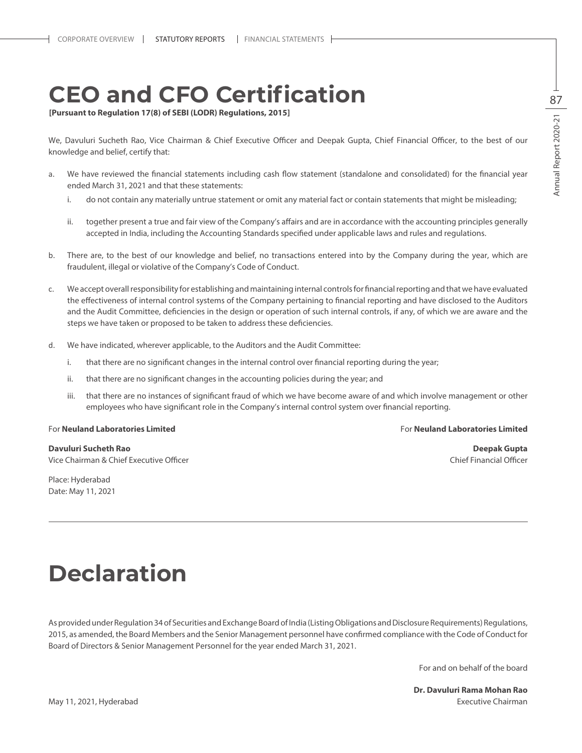# **Ceo and Cfo Certification**

**[Pursuant to Regulation 17(8) of SEBI (LODR) Regulations, 2015]**

We, Davuluri Sucheth Rao, Vice Chairman & Chief Executive Officer and Deepak Gupta, Chief Financial Officer, to the best of our knowledge and belief, certify that:

- a. We have reviewed the financial statements including cash flow statement (standalone and consolidated) for the financial year ended March 31, 2021 and that these statements:
	- i. do not contain any materially untrue statement or omit any material fact or contain statements that might be misleading;
	- ii. together present a true and fair view of the Company's affairs and are in accordance with the accounting principles generally accepted in India, including the Accounting Standards specified under applicable laws and rules and regulations.
- b. There are, to the best of our knowledge and belief, no transactions entered into by the Company during the year, which are fraudulent, illegal or violative of the Company's Code of Conduct.
- c. We accept overall responsibility for establishing and maintaining internal controls for financial reporting and that we have evaluated the effectiveness of internal control systems of the Company pertaining to financial reporting and have disclosed to the Auditors and the Audit Committee, deficiencies in the design or operation of such internal controls, if any, of which we are aware and the steps we have taken or proposed to be taken to address these deficiencies.
- d. We have indicated, wherever applicable, to the Auditors and the Audit Committee:
	- i. that there are no significant changes in the internal control over financial reporting during the year;
	- ii. that there are no significant changes in the accounting policies during the year; and
	- iii. that there are no instances of significant fraud of which we have become aware of and which involve management or other employees who have significant role in the Company's internal control system over financial reporting.

**Davuluri Sucheth Rao Deepak Gupta** Vice Chairman & Chief Executive Officer Chief Financial Officer Chief Financial Officer Chief Financial Officer

Place: Hyderabad Date: May 11, 2021

#### For **Neuland Laboratories Limited** For **Neuland Laboratories Limited**

# **Declaration**

As provided under Regulation 34 of Securities and Exchange Board of India (Listing Obligations and Disclosure Requirements) Regulations, 2015, as amended, the Board Members and the Senior Management personnel have confirmed compliance with the Code of Conduct for Board of Directors & Senior Management Personnel for the year ended March 31, 2021.

For and on behalf of the board

**Dr. Davuluri Rama Mohan Rao** May 11, 2021, Hyderabad Executive Chairman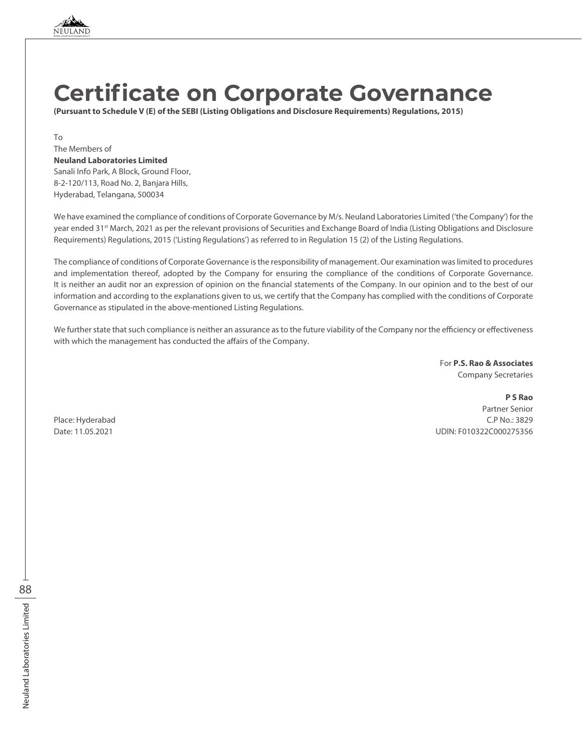

# **Certificate on Corporate Governance**

**(Pursuant to Schedule V (E) of the SEBI (Listing Obligations and Disclosure Requirements) Regulations, 2015)**

To

#### The Members of **Neuland Laboratories Limited**

Sanali Info Park, A Block, Ground Floor, 8-2-120/113, Road No. 2, Banjara Hills, Hyderabad, Telangana, 500034

We have examined the compliance of conditions of Corporate Governance by M/s. Neuland Laboratories Limited ('the Company') for the year ended 31<sup>st</sup> March, 2021 as per the relevant provisions of Securities and Exchange Board of India (Listing Obligations and Disclosure Requirements) Regulations, 2015 ('Listing Regulations') as referred to in Regulation 15 (2) of the Listing Regulations.

The compliance of conditions of Corporate Governance is the responsibility of management. Our examination was limited to procedures and implementation thereof, adopted by the Company for ensuring the compliance of the conditions of Corporate Governance. It is neither an audit nor an expression of opinion on the financial statements of the Company. In our opinion and to the best of our information and according to the explanations given to us, we certify that the Company has complied with the conditions of Corporate Governance as stipulated in the above-mentioned Listing Regulations.

We further state that such compliance is neither an assurance as to the future viability of the Company nor the efficiency or effectiveness with which the management has conducted the affairs of the Company.

> For **P.S. Rao & Associates** Company Secretaries

**P S Rao** Partner Senior Place: Hyderabad C.P No.: 3829 Date: 11.05.2021 UDIN: F010322C000275356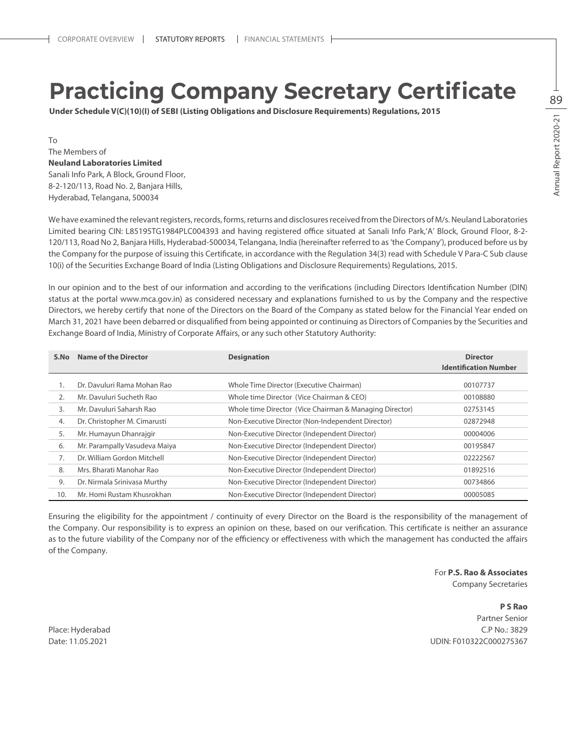# **Practicing Company Secretary Certificate**

**Under Schedule V(C)(10)(I) of Sebi (Listing Obligations and Disclosure Requirements) Regulations, 2015**

To The Members of **Neuland Laboratories Limited**  Sanali Info Park, A Block, Ground Floor, 8-2-120/113, Road No. 2, Banjara Hills, Hyderabad, Telangana, 500034

We have examined the relevant registers, records, forms, returns and disclosures received from the Directors of M/s. Neuland Laboratories Limited bearing CIN: L85195TG1984PLC004393 and having registered office situated at Sanali Info Park,'A' Block, Ground Floor, 8-2- 120/113, Road No 2, Banjara Hills, Hyderabad-500034, Telangana, India (hereinafter referred to as 'the Company'), produced before us by the Company for the purpose of issuing this Certificate, in accordance with the Regulation 34(3) read with Schedule V Para-C Sub clause 10(i) of the Securities Exchange Board of India (Listing Obligations and Disclosure Requirements) Regulations, 2015.

In our opinion and to the best of our information and according to the verifications (including Directors Identification Number (DIN) status at the portal www.mca.gov.in) as considered necessary and explanations furnished to us by the Company and the respective Directors, we hereby certify that none of the Directors on the Board of the Company as stated below for the Financial Year ended on March 31, 2021 have been debarred or disqualified from being appointed or continuing as Directors of Companies by the Securities and Exchange Board of India, Ministry of Corporate Affairs, or any such other Statutory Authority:

| S.No           | Name of the Director          | <b>Designation</b>                                      | <b>Director</b>              |
|----------------|-------------------------------|---------------------------------------------------------|------------------------------|
|                |                               |                                                         | <b>Identification Number</b> |
| 1.             | Dr. Davuluri Rama Mohan Rao   | Whole Time Director (Executive Chairman)                | 00107737                     |
| 2.             | Mr. Davuluri Sucheth Rao      | Whole time Director (Vice Chairman & CEO)               | 00108880                     |
| $\mathbf{3}$ . | Mr. Davuluri Saharsh Rao      | Whole time Director (Vice Chairman & Managing Director) | 02753145                     |
| 4.             | Dr. Christopher M. Cimarusti  | Non-Executive Director (Non-Independent Director)       | 02872948                     |
| 5.             | Mr. Humayun Dhanrajgir        | Non-Executive Director (Independent Director)           | 00004006                     |
| 6.             | Mr. Parampally Vasudeva Maiya | Non-Executive Director (Independent Director)           | 00195847                     |
| 7.             | Dr. William Gordon Mitchell   | Non-Executive Director (Independent Director)           | 02222567                     |
| 8.             | Mrs. Bharati Manohar Rao      | Non-Executive Director (Independent Director)           | 01892516                     |
| 9.             | Dr. Nirmala Srinivasa Murthy  | Non-Executive Director (Independent Director)           | 00734866                     |
| 10.            | Mr. Homi Rustam Khusrokhan    | Non-Executive Director (Independent Director)           | 00005085                     |

Ensuring the eligibility for the appointment / continuity of every Director on the Board is the responsibility of the management of the Company. Our responsibility is to express an opinion on these, based on our verification. This certificate is neither an assurance as to the future viability of the Company nor of the efficiency or effectiveness with which the management has conducted the affairs of the Company.

For **P.S. Rao & Associates**

Company Secretaries

**P S Rao** Partner Senior Place: Hyderabad C.P No.: 3829 Date: 11.05.2021 UDIN: F010322C000275367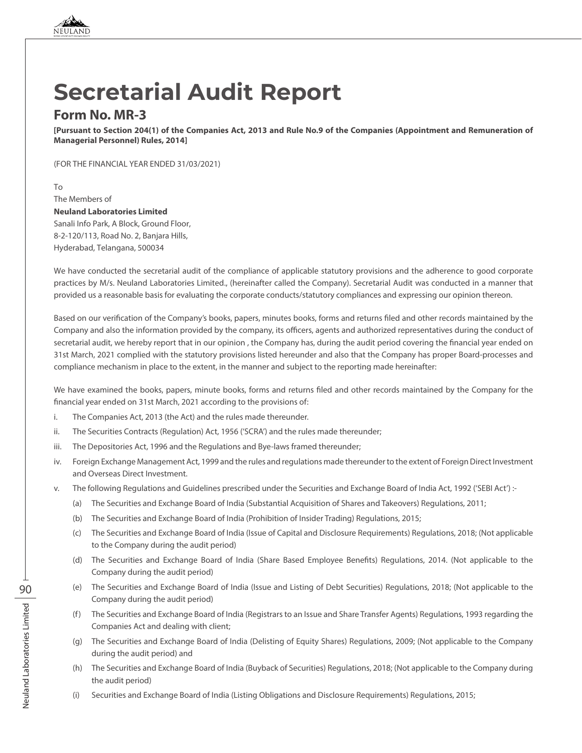

# **Secretarial Audit Report**

# **Form No. MR-3**

**[Pursuant to Section 204(1) of the Companies Act, 2013 and Rule No.9 of the Companies (Appointment and Remuneration of Managerial Personnel) Rules, 2014]**

(FOR THE FINANCIAL YEAR ENDED 31/03/2021)

To The Members of **Neuland Laboratories Limited**  Sanali Info Park, A Block, Ground Floor, 8-2-120/113, Road No. 2, Banjara Hills, Hyderabad, Telangana, 500034

We have conducted the secretarial audit of the compliance of applicable statutory provisions and the adherence to good corporate practices by M/s. Neuland Laboratories Limited., (hereinafter called the Company). Secretarial Audit was conducted in a manner that provided us a reasonable basis for evaluating the corporate conducts/statutory compliances and expressing our opinion thereon.

Based on our verification of the Company's books, papers, minutes books, forms and returns filed and other records maintained by the Company and also the information provided by the company, its officers, agents and authorized representatives during the conduct of secretarial audit, we hereby report that in our opinion , the Company has, during the audit period covering the financial year ended on 31st March, 2021 complied with the statutory provisions listed hereunder and also that the Company has proper Board-processes and compliance mechanism in place to the extent, in the manner and subject to the reporting made hereinafter:

We have examined the books, papers, minute books, forms and returns filed and other records maintained by the Company for the financial year ended on 31st March, 2021 according to the provisions of:

- i. The Companies Act, 2013 (the Act) and the rules made thereunder.
- ii. The Securities Contracts (Regulation) Act, 1956 ('SCRA') and the rules made thereunder;
- iii. The Depositories Act, 1996 and the Regulations and Bye-laws framed thereunder;
- iv. Foreign Exchange Management Act, 1999 and the rules and regulations made thereunder to the extent of Foreign Direct Investment and Overseas Direct Investment.
- v. The following Regulations and Guidelines prescribed under the Securities and Exchange Board of India Act, 1992 ('SEBI Act') :-
	- (a) The Securities and Exchange Board of India (Substantial Acquisition of Shares and Takeovers) Regulations, 2011;
	- (b) The Securities and Exchange Board of India (Prohibition of Insider Trading) Regulations, 2015;
	- (c) The Securities and Exchange Board of India (Issue of Capital and Disclosure Requirements) Regulations, 2018; (Not applicable to the Company during the audit period)
	- (d) The Securities and Exchange Board of India (Share Based Employee Benefits) Regulations, 2014. (Not applicable to the Company during the audit period)
	- (e) The Securities and Exchange Board of India (Issue and Listing of Debt Securities) Regulations, 2018; (Not applicable to the Company during the audit period)
	- (f) The Securities and Exchange Board of India (Registrars to an Issue and Share Transfer Agents) Regulations, 1993 regarding the Companies Act and dealing with client;
	- (g) The Securities and Exchange Board of India (Delisting of Equity Shares) Regulations, 2009; (Not applicable to the Company during the audit period) and
	- (h) The Securities and Exchange Board of India (Buyback of Securities) Regulations, 2018; (Not applicable to the Company during the audit period)
	- (i) Securities and Exchange Board of India (Listing Obligations and Disclosure Requirements) Regulations, 2015;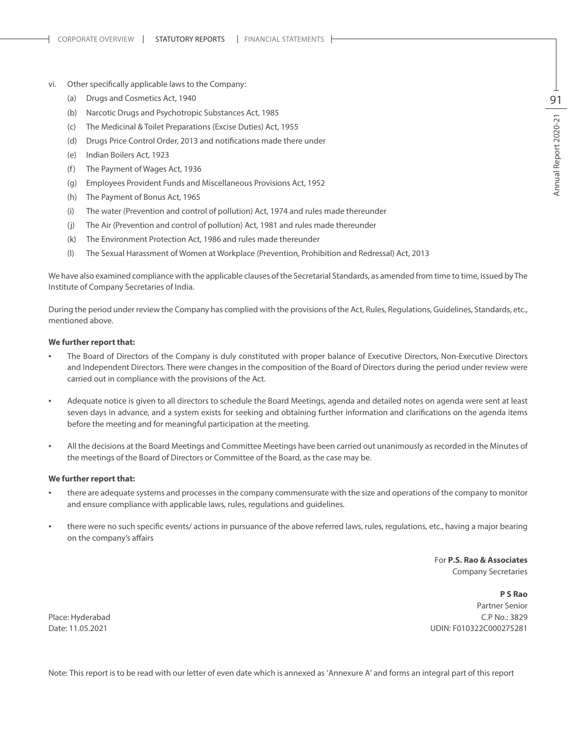- vi. Other specifically applicable laws to the Company:
	- (a) Drugs and Cosmetics Act, 1940
	- (b) Narcotic Drugs and Psychotropic Substances Act, 1985
	- (c) The Medicinal & Toilet Preparations (Excise Duties) Act, 1955
	- (d) Drugs Price Control Order, 2013 and notifications made there under
	- (e) Indian Boilers Act, 1923
	- (f) The Payment of Wages Act, 1936
	- (g) Employees Provident Funds and Miscellaneous Provisions Act, 1952
	- (h) The Payment of Bonus Act, 1965
	- (i) The water (Prevention and control of pollution) Act, 1974 and rules made thereunder
	- (j) The Air (Prevention and control of pollution) Act, 1981 and rules made thereunder
	- (k) The Environment Protection Act, 1986 and rules made thereunder
	- (l) The Sexual Harassment of Women at Workplace (Prevention, Prohibition and Redressal) Act, 2013

We have also examined compliance with the applicable clauses of the Secretarial Standards, as amended from time to time, issued by The Institute of Company Secretaries of India.

During the period under review the Company has complied with the provisions of the Act, Rules, Regulations, Guidelines, Standards, etc., mentioned above.

#### **We further report that:**

- The Board of Directors of the Company is duly constituted with proper balance of Executive Directors, Non-Executive Directors and Independent Directors. There were changes in the composition of the Board of Directors during the period under review were carried out in compliance with the provisions of the Act.
- Adequate notice is given to all directors to schedule the Board Meetings, agenda and detailed notes on agenda were sent at least seven days in advance, and a system exists for seeking and obtaining further information and clarifications on the agenda items before the meeting and for meaningful participation at the meeting.
- All the decisions at the Board Meetings and Committee Meetings have been carried out unanimously as recorded in the Minutes of the meetings of the Board of Directors or Committee of the Board, as the case may be.

#### **We further report that:**

- there are adequate systems and processes in the company commensurate with the size and operations of the company to monitor and ensure compliance with applicable laws, rules, regulations and guidelines.
- there were no such specific events/ actions in pursuance of the above referred laws, rules, regulations, etc., having a major bearing on the company's affairs

For **P.S. Rao & Associates** Company Secretaries

**P S Rao** Partner Senior Place: Hyderabad C.P No.: 3829 Date: 11.05.2021 UDIN: F010322C000275281

Note: This report is to be read with our letter of even date which is annexed as 'Annexure A' and forms an integral part of this report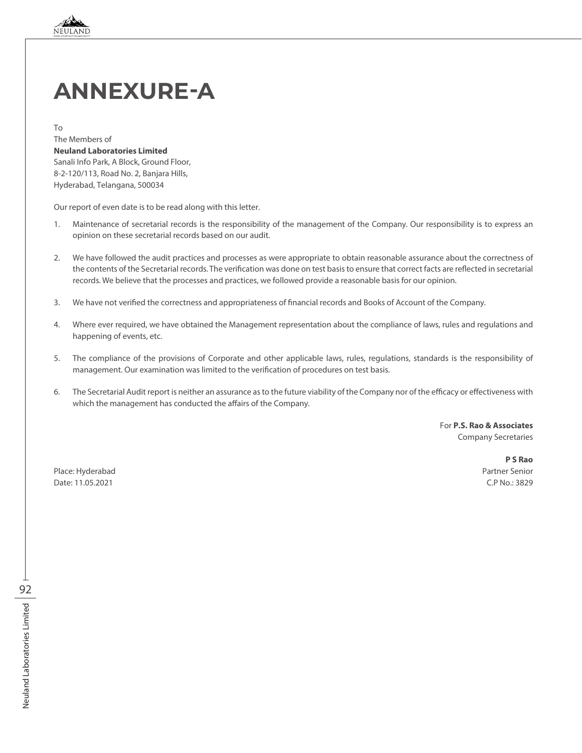

# **Annexure-A**

To The Members of **Neuland Laboratories Limited**  Sanali Info Park, A Block, Ground Floor, 8-2-120/113, Road No. 2, Banjara Hills, Hyderabad, Telangana, 500034

Our report of even date is to be read along with this letter.

- 1. Maintenance of secretarial records is the responsibility of the management of the Company. Our responsibility is to express an opinion on these secretarial records based on our audit.
- 2. We have followed the audit practices and processes as were appropriate to obtain reasonable assurance about the correctness of the contents of the Secretarial records. The verification was done on test basis to ensure that correct facts are reflected in secretarial records. We believe that the processes and practices, we followed provide a reasonable basis for our opinion.
- 3. We have not verified the correctness and appropriateness of financial records and Books of Account of the Company.
- 4. Where ever required, we have obtained the Management representation about the compliance of laws, rules and regulations and happening of events, etc.
- 5. The compliance of the provisions of Corporate and other applicable laws, rules, regulations, standards is the responsibility of management. Our examination was limited to the verification of procedures on test basis.
- 6. The Secretarial Audit report is neither an assurance as to the future viability of the Company nor of the efficacy or effectiveness with which the management has conducted the affairs of the Company.

For **P.S. Rao & Associates** Company Secretaries

Place: Hyderabad Partner Senior Date: 11.05.2021 C.P No.: 3829

**P S Rao**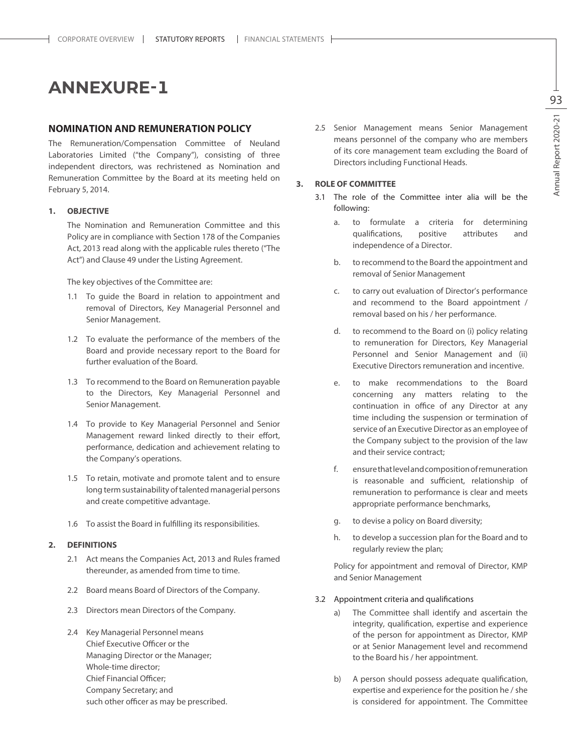# **ANNEXURE-1**

# **NOMINATION AND REMUNERATION POLICY**

The Remuneration/Compensation Committee of Neuland Laboratories Limited ("the Company"), consisting of three independent directors, was rechristened as Nomination and Remuneration Committee by the Board at its meeting held on February 5, 2014.

### **1. OBJECTIVE**

The Nomination and Remuneration Committee and this Policy are in compliance with Section 178 of the Companies Act, 2013 read along with the applicable rules thereto ("The Act") and Clause 49 under the Listing Agreement.

The key objectives of the Committee are:

- 1.1 To guide the Board in relation to appointment and removal of Directors, Key Managerial Personnel and Senior Management.
- 1.2 To evaluate the performance of the members of the Board and provide necessary report to the Board for further evaluation of the Board.
- 1.3 To recommend to the Board on Remuneration payable to the Directors, Key Managerial Personnel and Senior Management.
- 1.4 To provide to Key Managerial Personnel and Senior Management reward linked directly to their effort, performance, dedication and achievement relating to the Company's operations.
- 1.5 To retain, motivate and promote talent and to ensure long term sustainability of talented managerial persons and create competitive advantage.
- 1.6 To assist the Board in fulfilling its responsibilities.

#### **2. DEFINITIONS**

- 2.1 Act means the Companies Act, 2013 and Rules framed thereunder, as amended from time to time.
- 2.2 Board means Board of Directors of the Company.
- 2.3 Directors mean Directors of the Company.
- 2.4 Key Managerial Personnel means Chief Executive Officer or the Managing Director or the Manager; Whole-time director; Chief Financial Officer; Company Secretary; and such other officer as may be prescribed.

2.5 Senior Management means Senior Management means personnel of the company who are members of its core management team excluding the Board of Directors including Functional Heads.

#### **3. ROLE OF COMMITTEE**

- 3.1 The role of the Committee inter alia will be the following:
	- a. to formulate a criteria for determining qualifications, positive attributes and independence of a Director.
	- b. to recommend to the Board the appointment and removal of Senior Management
	- c. to carry out evaluation of Director's performance and recommend to the Board appointment / removal based on his / her performance.
	- d. to recommend to the Board on (i) policy relating to remuneration for Directors, Key Managerial Personnel and Senior Management and (ii) Executive Directors remuneration and incentive.
	- e. to make recommendations to the Board concerning any matters relating to the continuation in office of any Director at any time including the suspension or termination of service of an Executive Director as an employee of the Company subject to the provision of the law and their service contract;
	- f. ensure that level and composition of remuneration is reasonable and sufficient, relationship of remuneration to performance is clear and meets appropriate performance benchmarks,
	- g. to devise a policy on Board diversity;
	- h. to develop a succession plan for the Board and to regularly review the plan;

Policy for appointment and removal of Director, KMP and Senior Management

- 3.2 Appointment criteria and qualifications
	- a) The Committee shall identify and ascertain the integrity, qualification, expertise and experience of the person for appointment as Director, KMP or at Senior Management level and recommend to the Board his / her appointment.
	- b) A person should possess adequate qualification, expertise and experience for the position he / she is considered for appointment. The Committee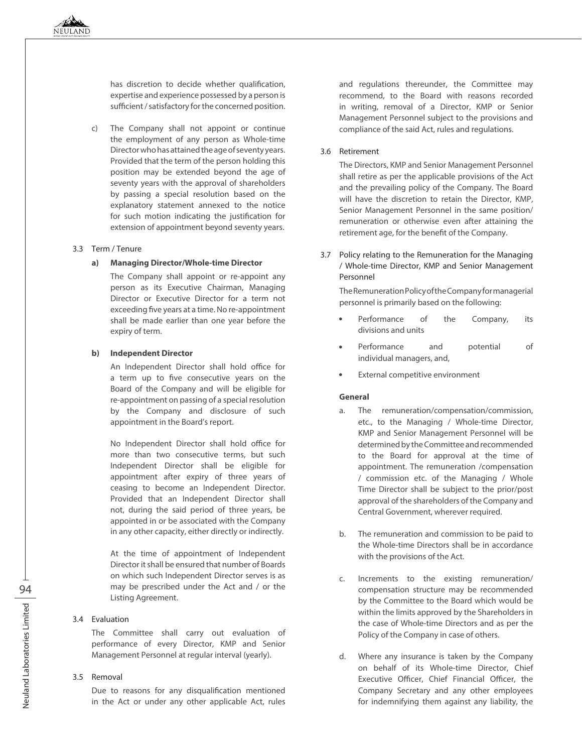has discretion to decide whether qualification, expertise and experience possessed by a person is sufficient / satisfactory for the concerned position.

c) The Company shall not appoint or continue the employment of any person as Whole-time Director who has attained the age of seventy years. Provided that the term of the person holding this position may be extended beyond the age of seventy years with the approval of shareholders by passing a special resolution based on the explanatory statement annexed to the notice for such motion indicating the justification for extension of appointment beyond seventy years.

#### 3.3 Term / Tenure

#### **a) Managing Director/Whole-time Director**

The Company shall appoint or re-appoint any person as its Executive Chairman, Managing Director or Executive Director for a term not exceeding five years at a time. No re-appointment shall be made earlier than one year before the expiry of term.

#### **b) Independent Director**

An Independent Director shall hold office for a term up to five consecutive years on the Board of the Company and will be eligible for re-appointment on passing of a special resolution by the Company and disclosure of such appointment in the Board's report.

No Independent Director shall hold office for more than two consecutive terms, but such Independent Director shall be eligible for appointment after expiry of three years of ceasing to become an Independent Director. Provided that an Independent Director shall not, during the said period of three years, be appointed in or be associated with the Company in any other capacity, either directly or indirectly.

At the time of appointment of Independent Director it shall be ensured that number of Boards on which such Independent Director serves is as may be prescribed under the Act and / or the Listing Agreement.

#### 3.4 Evaluation

The Committee shall carry out evaluation of performance of every Director, KMP and Senior Management Personnel at regular interval (yearly).

# 3.5 Removal

Due to reasons for any disqualification mentioned in the Act or under any other applicable Act, rules and regulations thereunder, the Committee may recommend, to the Board with reasons recorded in writing, removal of a Director, KMP or Senior Management Personnel subject to the provisions and compliance of the said Act, rules and regulations.

### 3.6 Retirement

The Directors, KMP and Senior Management Personnel shall retire as per the applicable provisions of the Act and the prevailing policy of the Company. The Board will have the discretion to retain the Director, KMP, Senior Management Personnel in the same position/ remuneration or otherwise even after attaining the retirement age, for the benefit of the Company.

3.7 Policy relating to the Remuneration for the Managing / Whole-time Director, KMP and Senior Management Personnel

The Remuneration Policy of the Company for managerial personnel is primarily based on the following:

- Performance of the Company, its divisions and units
- Performance and potential of individual managers, and,
- External competitive environment

# **General**

- a. The remuneration/compensation/commission, etc., to the Managing / Whole-time Director, KMP and Senior Management Personnel will be determined by the Committee and recommended to the Board for approval at the time of appointment. The remuneration /compensation / commission etc. of the Managing / Whole Time Director shall be subject to the prior/post approval of the shareholders of the Company and Central Government, wherever required.
- b. The remuneration and commission to be paid to the Whole-time Directors shall be in accordance with the provisions of the Act.
- c. Increments to the existing remuneration/ compensation structure may be recommended by the Committee to the Board which would be within the limits approved by the Shareholders in the case of Whole-time Directors and as per the Policy of the Company in case of others.
- d. Where any insurance is taken by the Company on behalf of its Whole-time Director, Chief Executive Officer, Chief Financial Officer, the Company Secretary and any other employees for indemnifying them against any liability, the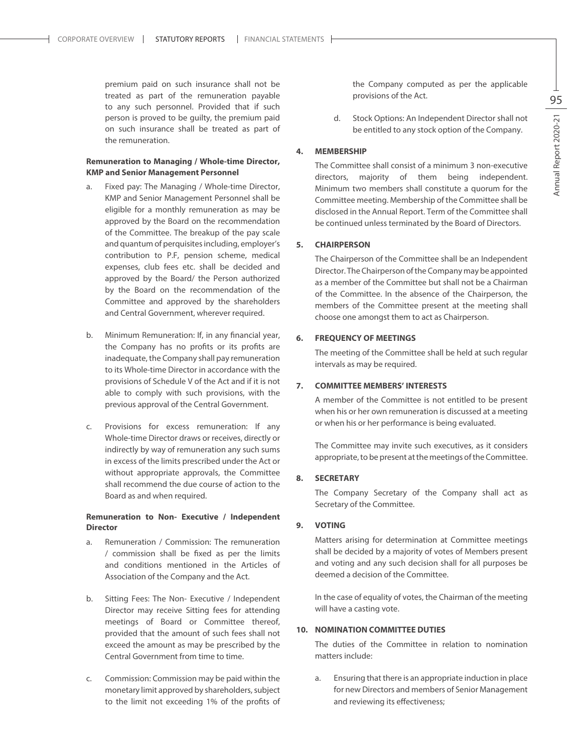premium paid on such insurance shall not be treated as part of the remuneration payable to any such personnel. Provided that if such person is proved to be guilty, the premium paid on such insurance shall be treated as part of the remuneration.

# **Remuneration to Managing / Whole-time Director, KMP and Senior Management Personnel**

- a. Fixed pay: The Managing / Whole-time Director, KMP and Senior Management Personnel shall be eligible for a monthly remuneration as may be approved by the Board on the recommendation of the Committee. The breakup of the pay scale and quantum of perquisites including, employer's contribution to P.F, pension scheme, medical expenses, club fees etc. shall be decided and approved by the Board/ the Person authorized by the Board on the recommendation of the Committee and approved by the shareholders and Central Government, wherever required.
- b. Minimum Remuneration: If, in any financial year, the Company has no profits or its profits are inadequate, the Company shall pay remuneration to its Whole-time Director in accordance with the provisions of Schedule V of the Act and if it is not able to comply with such provisions, with the previous approval of the Central Government.
- c. Provisions for excess remuneration: If any Whole-time Director draws or receives, directly or indirectly by way of remuneration any such sums in excess of the limits prescribed under the Act or without appropriate approvals, the Committee shall recommend the due course of action to the Board as and when required.

# **Remuneration to Non- Executive / Independent Director**

- a. Remuneration / Commission: The remuneration / commission shall be fixed as per the limits and conditions mentioned in the Articles of Association of the Company and the Act.
- b. Sitting Fees: The Non- Executive / Independent Director may receive Sitting fees for attending meetings of Board or Committee thereof, provided that the amount of such fees shall not exceed the amount as may be prescribed by the Central Government from time to time.
- c. Commission: Commission may be paid within the monetary limit approved by shareholders, subject to the limit not exceeding 1% of the profits of

the Company computed as per the applicable provisions of the Act.

d. Stock Options: An Independent Director shall not be entitled to any stock option of the Company.

# **4. MEMBERSHIP**

The Committee shall consist of a minimum 3 non-executive directors, majority of them being independent. Minimum two members shall constitute a quorum for the Committee meeting. Membership of the Committee shall be disclosed in the Annual Report. Term of the Committee shall be continued unless terminated by the Board of Directors.

# **5. CHAIRPERSON**

The Chairperson of the Committee shall be an Independent Director. The Chairperson of the Company may be appointed as a member of the Committee but shall not be a Chairman of the Committee. In the absence of the Chairperson, the members of the Committee present at the meeting shall choose one amongst them to act as Chairperson.

#### **6. FREQUENCY OF MEETINGS**

The meeting of the Committee shall be held at such regular intervals as may be required.

#### **7. COMMITTEE MEMBERS' INTERESTS**

A member of the Committee is not entitled to be present when his or her own remuneration is discussed at a meeting or when his or her performance is being evaluated.

The Committee may invite such executives, as it considers appropriate, to be present at the meetings of the Committee.

#### **8. SECRETARY**

The Company Secretary of the Company shall act as Secretary of the Committee.

### **9. VOTING**

Matters arising for determination at Committee meetings shall be decided by a majority of votes of Members present and voting and any such decision shall for all purposes be deemed a decision of the Committee.

In the case of equality of votes, the Chairman of the meeting will have a casting vote.

#### **10. NOMINATION COMMITTEE DUTIES**

The duties of the Committee in relation to nomination matters include:

a. Ensuring that there is an appropriate induction in place for new Directors and members of Senior Management and reviewing its effectiveness;